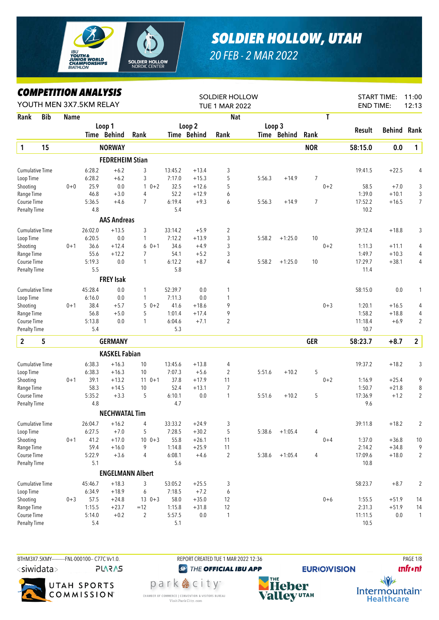

## *SOLDIER HOLLOW, UTAH*

*20 FEB - 2 MAR 2022*

## *COMPETITION ANALYSIS*

|                        |            |         | IIPEIIIIUN ANALIƏIƏ<br>YOUTH MEN 3X7.5KM RELAY |                        |                         |         |             | <b>SOLDIER HOLLOW</b><br><b>TUE 1 MAR 2022</b> |        |             |                |         | <b>END TIME:</b> | <b>START TIME:</b> | 11:00<br>12:13 |
|------------------------|------------|---------|------------------------------------------------|------------------------|-------------------------|---------|-------------|------------------------------------------------|--------|-------------|----------------|---------|------------------|--------------------|----------------|
| Rank                   | <b>Bib</b> | Name    |                                                |                        |                         |         |             | <b>Nat</b>                                     |        |             |                | T       |                  |                    |                |
|                        |            |         |                                                | Loop 1                 |                         |         | Loop 2      |                                                | Loop 3 |             |                |         |                  |                    |                |
|                        |            |         |                                                | Time Behind            | Rank                    |         | Time Behind | Rank                                           |        | Time Behind | Rank           |         | <b>Result</b>    | <b>Behind Rank</b> |                |
| $\mathbf{1}$           | 15         |         |                                                | <b>NORWAY</b>          |                         |         |             |                                                |        |             | <b>NOR</b>     |         | 58:15.0          | 0.0                | $\mathbf{1}$   |
|                        |            |         |                                                | <b>FEDREHEIM Stian</b> |                         |         |             |                                                |        |             |                |         |                  |                    |                |
| <b>Cumulative Time</b> |            |         | 6:28.2                                         | $+6.2$                 | 3                       | 13:45.2 | $+13.4$     | 3                                              |        |             |                |         | 19:41.5          | $+22.5$            | 4              |
| Loop Time              |            |         | 6:28.2                                         | $+6.2$                 | 3                       | 7:17.0  | $+15.3$     | 5                                              | 5:56.3 | $+14.9$     | 7              |         |                  |                    |                |
| Shooting               |            | $0 + 0$ | 25.9                                           | 0.0                    | $\mathbf{1}$<br>$0 + 2$ | 32.5    | $+12.6$     | 5                                              |        |             |                | $0 + 2$ | 58.5             | $+7.0$             | 3              |
| Range Time             |            |         | 46.8                                           | $+3.0$                 | 4                       | 52.2    | $+12.9$     | 6                                              |        |             |                |         | 1:39.0           | $+10.1$            | 3              |
| Course Time            |            |         | 5:36.5                                         | $+4.6$                 | $\overline{7}$          | 6:19.4  | $+9.3$      | 6                                              | 5:56.3 | $+14.9$     | $\overline{7}$ |         | 17:52.2          | $+16.5$            | 7              |
| Penalty Time           |            |         | 4.8                                            |                        |                         | 5.4     |             |                                                |        |             |                |         | 10.2             |                    |                |
|                        |            |         |                                                | <b>AAS Andreas</b>     |                         |         |             |                                                |        |             |                |         |                  |                    |                |
| <b>Cumulative Time</b> |            |         | 26:02.0                                        | $+13.5$                | 3                       | 33:14.2 | $+5.9$      | 2                                              |        |             |                |         | 39:12.4          | $+18.8$            | 3              |
| Loop Time              |            |         | 6:20.5                                         | 0.0                    | 1                       | 7:12.2  | $+13.9$     | 3                                              | 5:58.2 | $+1:25.0$   | 10             |         |                  |                    |                |
| Shooting               |            | $0 + 1$ | 36.6                                           | $+12.4$                | $60+1$                  | 34.6    | $+4.9$      | 3                                              |        |             |                | $0 + 2$ | 1:11.3           | $+11.1$            | 4              |
| Range Time             |            |         | 55.6                                           | $+12.2$                | 7                       | 54.1    | $+5.2$      | 3                                              |        |             |                |         | 1:49.7           | $+10.3$            | 4              |
| Course Time            |            |         | 5:19.3                                         | 0.0                    | 1                       | 6:12.2  | $+8.7$      | 4                                              | 5:58.2 | $+1:25.0$   | 10             |         | 17:29.7          | $+38.1$            | 4              |
| Penalty Time           |            |         | 5.5                                            |                        |                         | 5.8     |             |                                                |        |             |                |         | 11.4             |                    |                |
|                        |            |         |                                                | <b>FREY Isak</b>       |                         |         |             |                                                |        |             |                |         |                  |                    |                |
| <b>Cumulative Time</b> |            |         | 45:28.4                                        | 0.0                    | 1                       | 52:39.7 | 0.0         | 1                                              |        |             |                |         | 58:15.0          | 0.0                | 1              |
| Loop Time              |            |         | 6:16.0                                         | 0.0                    | 1                       | 7:11.3  | 0.0         | 1                                              |        |             |                |         |                  |                    |                |
| Shooting               |            | $0 + 1$ | 38.4                                           | $+5.7$                 | $50+2$                  | 41.6    | $+18.6$     | 9                                              |        |             |                | $0 + 3$ | 1:20.1           | $+16.5$            | 4              |
| Range Time             |            |         | 56.8                                           | $+5.0$                 | 5                       | 1:01.4  | $+17.4$     | 9                                              |        |             |                |         | 1:58.2           | $+18.8$            | 4              |
| Course Time            |            |         | 5:13.8                                         | 0.0                    | 1                       | 6:04.6  | $+7.1$      | $\overline{2}$                                 |        |             |                |         | 11:18.4          | $+6.9$             | $\overline{2}$ |
| <b>Penalty Time</b>    |            |         | 5.4                                            |                        |                         | 5.3     |             |                                                |        |             |                |         | 10.7             |                    |                |
| $\overline{2}$         | 5          |         |                                                | <b>GERMANY</b>         |                         |         |             |                                                |        |             | <b>GER</b>     |         | 58:23.7          | $+8.7$             | $\overline{2}$ |
|                        |            |         |                                                | <b>KASKEL Fabian</b>   |                         |         |             |                                                |        |             |                |         |                  |                    |                |
| <b>Cumulative Time</b> |            |         | 6:38.3                                         | $+16.3$                | 10                      | 13:45.6 | $+13.8$     | 4                                              |        |             |                |         | 19:37.2          | $+18.2$            | 3              |
| Loop Time              |            |         | 6:38.3                                         | $+16.3$                | 10                      | 7:07.3  | $+5.6$      | 2                                              | 5:51.6 | $+10.2$     | 5              |         |                  |                    |                |
| Shooting               |            | $0 + 1$ | 39.1                                           | $+13.2$                | $11 \t 0+1$             | 37.8    | $+17.9$     | 11                                             |        |             |                | $0 + 2$ | 1:16.9           | $+25.4$            | 9              |
| Range Time             |            |         | 58.3                                           | $+14.5$                | 10                      | 52.4    | $+13.1$     | $\overline{7}$                                 |        |             |                |         | 1:50.7           | $+21.8$            | 8              |
| Course Time            |            |         | 5:35.2                                         | $+3.3$                 | 5                       | 6:10.1  | 0.0         | $\mathbf{1}$                                   | 5:51.6 | $+10.2$     | 5              |         | 17:36.9          | $+1.2$             | $\overline{2}$ |
| <b>Penalty Time</b>    |            |         | 4.8                                            |                        |                         | 4.7     |             |                                                |        |             |                |         | 9.6              |                    |                |
|                        |            |         |                                                | <b>NECHWATAL Tim</b>   |                         |         |             |                                                |        |             |                |         |                  |                    |                |
| Cumulative Time        |            |         | 26:04.7                                        | $+16.2$                | 4                       | 33:33.2 | $+24.9$     | 3                                              |        |             |                |         | 39:11.8          | $+18.2$            | 2              |
| Loop Time              |            |         | 6:27.5                                         | $+7.0$                 | 5                       | 7:28.5  | $+30.2$     | 5                                              | 5:38.6 | $+1:05.4$   | 4              |         |                  |                    |                |
| Shooting               |            | $0 + 1$ | 41.2                                           | $+17.0$                | $10 \t 0+3$             | 55.8    | $+26.1$     | 11                                             |        |             |                | $0 + 4$ | 1:37.0           | $+36.8$            | 10             |
| Range Time             |            |         | 59.4                                           | $+16.0$                | 9                       | 1:14.8  | $+25.9$     | 11                                             |        |             |                |         | 2:14.2           | $+34.8$            | 9              |
| Course Time            |            |         | 5:22.9                                         | $+3.6$                 | 4                       | 6:08.1  | $+4.6$      | $\overline{2}$                                 | 5:38.6 | $+1:05.4$   | 4              |         | 17:09.6          | $+18.0$            | $\overline{2}$ |
| <b>Penalty Time</b>    |            |         | 5.1                                            |                        |                         | 5.6     |             |                                                |        |             |                |         | 10.8             |                    |                |
|                        |            |         |                                                |                        | <b>ENGELMANN Albert</b> |         |             |                                                |        |             |                |         |                  |                    |                |
| Cumulative Time        |            |         | 45:46.7                                        | $+18.3$                | 3                       | 53:05.2 | $+25.5$     | 3                                              |        |             |                |         | 58:23.7          | $+8.7$             | $\overline{2}$ |
| Loop Time              |            |         | 6:34.9                                         | $+18.9$                | 6                       | 7:18.5  | $+7.2$      | 6                                              |        |             |                |         |                  |                    |                |
| Shooting               |            | $0 + 3$ | 57.5                                           | $+24.8$                | $130+3$                 | 58.0    | $+35.0$     | 12                                             |        |             |                | $0 + 6$ | 1:55.5           | $+51.9$            | 14             |
| Range Time             |            |         | 1:15.5                                         | $+23.7$                | $=12$                   | 1:15.8  | $+31.8$     | 12                                             |        |             |                |         | 2:31.3           | $+51.9$            | 14             |
| Course Time            |            |         | 5:14.0                                         | $+0.2$                 | $\overline{2}$          | 5:57.5  | $0.0\,$     | $\mathbf{1}$                                   |        |             |                |         | 11:11.5          | 0.0                | $\mathbf{1}$   |
| <b>Penalty Time</b>    |            |         | 5.4                                            |                        |                         | 5.1     |             |                                                |        |             |                |         | 10.5             |                    |                |

BTHM3X7.5KMY---------FNL-000100-- C77C Vv1.0. REPORT CREATED TUE 1 MAR 2022 12:36 PAGE 1/8 <siwidata> **PLARAS** 



Visit Park City.com

<sup><sup>2</sup> THE OFFICIAL IBU APP</sup> park 急 city<sup>®</sup> CHAMBER OF COMMERCE | CONVENTION & VISITORS BUREAU



**EURIO)VISION** 

**unfront** 

 $\sqrt{v}$ Intermountain<sup>®</sup> **Healthcare**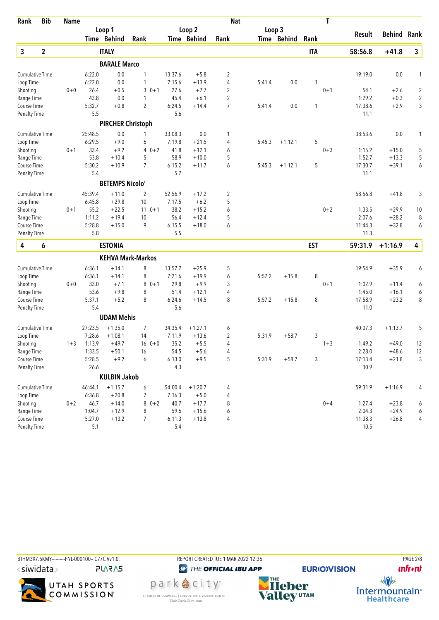| Loop 2<br>Loop 3<br>Loop 1<br><b>Behind Rank</b><br>Result<br>Time Behind<br>Time Behind<br>Time Behind<br>Rank<br>Rank<br>Rank<br>3<br>$\mathbf{2}$<br>$\mathbf{3}$<br><b>ITALY</b><br><b>ITA</b><br>58:56.8<br>$+41.8$<br><b>BARALE Marco</b><br>0.0<br>13:37.6<br>$\overline{2}$<br>19:19.0<br>0.0<br><b>Cumulative Time</b><br>6:22.0<br>1<br>$+5.8$<br>1<br>6:22.0<br>0.0<br>7:15.6<br>$+13.9$<br>4<br>0.0<br>Loop Time<br>1<br>5:41.4<br>1<br>26.4<br>$30+1$<br>27.6<br>$\overline{2}$<br>$0 + 1$<br>$\overline{2}$<br>$0 + 0$<br>$+0.5$<br>$+7.7$<br>54.1<br>$+2.6$<br>43.8<br>0.0<br>45.4<br>$\overline{2}$<br>1:29.2<br>$+0.3$<br>$\overline{c}$<br>1<br>$+6.1$<br>Range Time<br>$\overline{7}$<br>3<br>5:32.7<br>$+0.8$<br>$\overline{2}$<br>6:24.5<br>0.0<br>17:38.6<br>Course Time<br>$+14.4$<br>5:41.4<br>1<br>$+2.9$<br>5.5<br>5.6<br><b>Penalty Time</b><br>11.1<br><b>PIRCHER Christoph</b><br>25:48.5<br>0.0<br>33:08.3<br>0.0<br>38:53.6<br>0.0<br><b>Cumulative Time</b><br>1<br>1<br>1<br>6:29.5<br>$+9.0$<br>6<br>7:19.8<br>$+21.5$<br>5:45.3<br>5<br>Loop Time<br>4<br>$+1:12.1$<br>33.4<br>$+9.2$<br>$40+2$<br>41.8<br>$0 + 3$<br>Shooting<br>$0 + 1$<br>$+12.1$<br>1:15.2<br>$+15.0$<br>5<br>6<br>5<br>53.8<br>58.9<br>5<br>1:52.7<br>Range Time<br>$+10.4$<br>5<br>$+10.0$<br>$+13.3$<br>5:30.2<br>$\overline{7}$<br>6:15.2<br>6<br>5<br>17:30.7<br>6<br>Course Time<br>$+10.9$<br>$+11.7$<br>5:45.3<br>$+1:12.1$<br>$+39.1$<br>5.4<br>5.7<br><b>Penalty Time</b><br>11.1<br><b>BETEMPS Nicolo'</b><br><b>Cumulative Time</b><br>45:39.4<br>$+11.0$<br>52:56.9<br>$\overline{c}$<br>$+41.8$<br>3<br>2<br>$+17.2$<br>58:56.8<br>5<br>6:45.8<br>$+29.8$<br>10<br>7:17.5<br>$+6.2$<br>Loop Time<br>38.2<br>55.2<br>$+22.5$<br>$11 \t 0+1$<br>$+15.2$<br>6<br>$0 + 2$<br>Shooting<br>$0 + 1$<br>1:33.5<br>$+29.9$<br>10<br>1:11.2<br>56.4<br>5<br>2:07.6<br>$+28.2$<br>Range Time<br>$+19.4$<br>10<br>$+12.4$<br>8<br>5:28.8<br>9<br>6:15.5<br>Course Time<br>$+15.0$<br>$+18.0$<br>6<br>11:44.3<br>$+32.8$<br>6<br>5.8<br>5.5<br><b>Penalty Time</b><br>11.3<br>4<br>4<br>6<br><b>ESTONIA</b><br><b>EST</b><br>59:31.9<br>$+1:16.9$<br><b>KEHVA Mark-Markos</b><br>8<br>$+35.9$<br><b>Cumulative Time</b><br>6:36.1<br>$+14.1$<br>13:57.7<br>$+25.9$<br>5<br>19:54.9<br>6<br>8<br>Loop Time<br>6:36.1<br>8<br>7:21.6<br>6<br>5:57.2<br>$+15.8$<br>$+14.1$<br>$+19.9$<br>33.0<br>29.8<br>$+9.9$<br>3<br>$0 + 1$<br>1:02.9<br>$0 + 0$<br>$+7.1$<br>8<br>$0 + 1$<br>$+11.4$<br>6<br>53.6<br>$+9.8$<br>51.4<br>1:45.0<br>8<br>$+12.1$<br>4<br>$+16.1$<br>6<br>Range Time<br>5:37.1<br>$+5.2$<br>8<br>6:24.6<br>8<br>$+15.8$<br>8<br>17:58.9<br>8<br>Course Time<br>$+14.5$<br>5:57.2<br>$+23.2$<br>5.4<br>11.0<br>5.6<br><b>Penalty Time</b><br><b>UDAM Mehis</b><br><b>Cumulative Time</b><br>27:23.5<br>$+1:35.0$<br>7<br>34:35.4<br>$+1:27.1$<br>40:07.3<br>$+1:13.7$<br>5<br>6<br>7:28.6<br>$+1:08.1$<br>7:11.9<br>3<br>Loop Time<br>14<br>$+13.6$<br>2<br>5:31.9<br>$+58.7$<br>Shooting<br>1:13.9<br>$+49.7$<br>35.2<br>$+5.5$<br>4<br>$1 + 3$<br>1:49.2<br>$+49.0$<br>12<br>$1 + 3$<br>$16 \t 0+0$<br>$+5.6$<br>2:28.0<br>Range Time<br>1:33.5<br>$+50.1$<br>16<br>54.5<br>$+48.6$<br>12<br>4<br>5:28.5<br>$+9.2$<br>6:13.0<br>$+9.5$<br>5<br>3<br>17:13.4<br>$\mathfrak{Z}$<br>Course Time<br>6<br>5:31.9<br>$+58.7$<br>$+21.8$<br>30.9<br>26.6<br>4.3<br><b>Penalty Time</b><br><b>KULBIN Jakob</b><br>Cumulative Time<br>$+1:15.7$<br>54:00.4<br>$+1:20.7$<br>59:31.9<br>$+1:16.9$<br>46:44.1<br>6<br>4<br>4<br>7:16.3<br>$+5.0$<br>$\overline{\mathcal{L}}$<br>Loop Time<br>6:36.8<br>$+20.8$<br>7<br>Shooting<br>$0 + 2$<br>46.7<br>$+14.0$<br>$80+2$<br>40.7<br>$+17.7$<br>8<br>$0 + 4$<br>1:27.4<br>$+23.8$<br>6<br>1:04.7<br>Range Time<br>$+12.9$<br>8<br>59.6<br>$+15.6$<br>2:04.3<br>$+24.9$<br>6<br>6<br>5:27.0<br>Course Time<br>$+13.2$<br>7<br>6:11.3<br>11:38.3<br>$+26.8$<br>4<br>$+13.8$<br>4 | Rank     | <b>Bib</b> | <b>Name</b> |  |  | <b>Nat</b> |  | T |  |  |
|-----------------------------------------------------------------------------------------------------------------------------------------------------------------------------------------------------------------------------------------------------------------------------------------------------------------------------------------------------------------------------------------------------------------------------------------------------------------------------------------------------------------------------------------------------------------------------------------------------------------------------------------------------------------------------------------------------------------------------------------------------------------------------------------------------------------------------------------------------------------------------------------------------------------------------------------------------------------------------------------------------------------------------------------------------------------------------------------------------------------------------------------------------------------------------------------------------------------------------------------------------------------------------------------------------------------------------------------------------------------------------------------------------------------------------------------------------------------------------------------------------------------------------------------------------------------------------------------------------------------------------------------------------------------------------------------------------------------------------------------------------------------------------------------------------------------------------------------------------------------------------------------------------------------------------------------------------------------------------------------------------------------------------------------------------------------------------------------------------------------------------------------------------------------------------------------------------------------------------------------------------------------------------------------------------------------------------------------------------------------------------------------------------------------------------------------------------------------------------------------------------------------------------------------------------------------------------------------------------------------------------------------------------------------------------------------------------------------------------------------------------------------------------------------------------------------------------------------------------------------------------------------------------------------------------------------------------------------------------------------------------------------------------------------------------------------------------------------------------------------------------------------------------------------------------------------------------------------------------------------------------------------------------------------------------------------------------------------------------------------------------------------------------------------------------------------------------------------------------------------------------------------------------------------------------------------------------------------------------------------------------------------------------------------------------------------------------------------------------------------------------------------------------------------------------------------------------------------------------------------------------------------------------------------------------------------|----------|------------|-------------|--|--|------------|--|---|--|--|
|                                                                                                                                                                                                                                                                                                                                                                                                                                                                                                                                                                                                                                                                                                                                                                                                                                                                                                                                                                                                                                                                                                                                                                                                                                                                                                                                                                                                                                                                                                                                                                                                                                                                                                                                                                                                                                                                                                                                                                                                                                                                                                                                                                                                                                                                                                                                                                                                                                                                                                                                                                                                                                                                                                                                                                                                                                                                                                                                                                                                                                                                                                                                                                                                                                                                                                                                                                                                                                                                                                                                                                                                                                                                                                                                                                                                                                                                                                                                         |          |            |             |  |  |            |  |   |  |  |
|                                                                                                                                                                                                                                                                                                                                                                                                                                                                                                                                                                                                                                                                                                                                                                                                                                                                                                                                                                                                                                                                                                                                                                                                                                                                                                                                                                                                                                                                                                                                                                                                                                                                                                                                                                                                                                                                                                                                                                                                                                                                                                                                                                                                                                                                                                                                                                                                                                                                                                                                                                                                                                                                                                                                                                                                                                                                                                                                                                                                                                                                                                                                                                                                                                                                                                                                                                                                                                                                                                                                                                                                                                                                                                                                                                                                                                                                                                                                         |          |            |             |  |  |            |  |   |  |  |
|                                                                                                                                                                                                                                                                                                                                                                                                                                                                                                                                                                                                                                                                                                                                                                                                                                                                                                                                                                                                                                                                                                                                                                                                                                                                                                                                                                                                                                                                                                                                                                                                                                                                                                                                                                                                                                                                                                                                                                                                                                                                                                                                                                                                                                                                                                                                                                                                                                                                                                                                                                                                                                                                                                                                                                                                                                                                                                                                                                                                                                                                                                                                                                                                                                                                                                                                                                                                                                                                                                                                                                                                                                                                                                                                                                                                                                                                                                                                         |          |            |             |  |  |            |  |   |  |  |
|                                                                                                                                                                                                                                                                                                                                                                                                                                                                                                                                                                                                                                                                                                                                                                                                                                                                                                                                                                                                                                                                                                                                                                                                                                                                                                                                                                                                                                                                                                                                                                                                                                                                                                                                                                                                                                                                                                                                                                                                                                                                                                                                                                                                                                                                                                                                                                                                                                                                                                                                                                                                                                                                                                                                                                                                                                                                                                                                                                                                                                                                                                                                                                                                                                                                                                                                                                                                                                                                                                                                                                                                                                                                                                                                                                                                                                                                                                                                         |          |            |             |  |  |            |  |   |  |  |
|                                                                                                                                                                                                                                                                                                                                                                                                                                                                                                                                                                                                                                                                                                                                                                                                                                                                                                                                                                                                                                                                                                                                                                                                                                                                                                                                                                                                                                                                                                                                                                                                                                                                                                                                                                                                                                                                                                                                                                                                                                                                                                                                                                                                                                                                                                                                                                                                                                                                                                                                                                                                                                                                                                                                                                                                                                                                                                                                                                                                                                                                                                                                                                                                                                                                                                                                                                                                                                                                                                                                                                                                                                                                                                                                                                                                                                                                                                                                         |          |            |             |  |  |            |  |   |  |  |
|                                                                                                                                                                                                                                                                                                                                                                                                                                                                                                                                                                                                                                                                                                                                                                                                                                                                                                                                                                                                                                                                                                                                                                                                                                                                                                                                                                                                                                                                                                                                                                                                                                                                                                                                                                                                                                                                                                                                                                                                                                                                                                                                                                                                                                                                                                                                                                                                                                                                                                                                                                                                                                                                                                                                                                                                                                                                                                                                                                                                                                                                                                                                                                                                                                                                                                                                                                                                                                                                                                                                                                                                                                                                                                                                                                                                                                                                                                                                         |          |            |             |  |  |            |  |   |  |  |
|                                                                                                                                                                                                                                                                                                                                                                                                                                                                                                                                                                                                                                                                                                                                                                                                                                                                                                                                                                                                                                                                                                                                                                                                                                                                                                                                                                                                                                                                                                                                                                                                                                                                                                                                                                                                                                                                                                                                                                                                                                                                                                                                                                                                                                                                                                                                                                                                                                                                                                                                                                                                                                                                                                                                                                                                                                                                                                                                                                                                                                                                                                                                                                                                                                                                                                                                                                                                                                                                                                                                                                                                                                                                                                                                                                                                                                                                                                                                         | Shooting |            |             |  |  |            |  |   |  |  |
|                                                                                                                                                                                                                                                                                                                                                                                                                                                                                                                                                                                                                                                                                                                                                                                                                                                                                                                                                                                                                                                                                                                                                                                                                                                                                                                                                                                                                                                                                                                                                                                                                                                                                                                                                                                                                                                                                                                                                                                                                                                                                                                                                                                                                                                                                                                                                                                                                                                                                                                                                                                                                                                                                                                                                                                                                                                                                                                                                                                                                                                                                                                                                                                                                                                                                                                                                                                                                                                                                                                                                                                                                                                                                                                                                                                                                                                                                                                                         |          |            |             |  |  |            |  |   |  |  |
|                                                                                                                                                                                                                                                                                                                                                                                                                                                                                                                                                                                                                                                                                                                                                                                                                                                                                                                                                                                                                                                                                                                                                                                                                                                                                                                                                                                                                                                                                                                                                                                                                                                                                                                                                                                                                                                                                                                                                                                                                                                                                                                                                                                                                                                                                                                                                                                                                                                                                                                                                                                                                                                                                                                                                                                                                                                                                                                                                                                                                                                                                                                                                                                                                                                                                                                                                                                                                                                                                                                                                                                                                                                                                                                                                                                                                                                                                                                                         |          |            |             |  |  |            |  |   |  |  |
|                                                                                                                                                                                                                                                                                                                                                                                                                                                                                                                                                                                                                                                                                                                                                                                                                                                                                                                                                                                                                                                                                                                                                                                                                                                                                                                                                                                                                                                                                                                                                                                                                                                                                                                                                                                                                                                                                                                                                                                                                                                                                                                                                                                                                                                                                                                                                                                                                                                                                                                                                                                                                                                                                                                                                                                                                                                                                                                                                                                                                                                                                                                                                                                                                                                                                                                                                                                                                                                                                                                                                                                                                                                                                                                                                                                                                                                                                                                                         |          |            |             |  |  |            |  |   |  |  |
|                                                                                                                                                                                                                                                                                                                                                                                                                                                                                                                                                                                                                                                                                                                                                                                                                                                                                                                                                                                                                                                                                                                                                                                                                                                                                                                                                                                                                                                                                                                                                                                                                                                                                                                                                                                                                                                                                                                                                                                                                                                                                                                                                                                                                                                                                                                                                                                                                                                                                                                                                                                                                                                                                                                                                                                                                                                                                                                                                                                                                                                                                                                                                                                                                                                                                                                                                                                                                                                                                                                                                                                                                                                                                                                                                                                                                                                                                                                                         |          |            |             |  |  |            |  |   |  |  |
|                                                                                                                                                                                                                                                                                                                                                                                                                                                                                                                                                                                                                                                                                                                                                                                                                                                                                                                                                                                                                                                                                                                                                                                                                                                                                                                                                                                                                                                                                                                                                                                                                                                                                                                                                                                                                                                                                                                                                                                                                                                                                                                                                                                                                                                                                                                                                                                                                                                                                                                                                                                                                                                                                                                                                                                                                                                                                                                                                                                                                                                                                                                                                                                                                                                                                                                                                                                                                                                                                                                                                                                                                                                                                                                                                                                                                                                                                                                                         |          |            |             |  |  |            |  |   |  |  |
|                                                                                                                                                                                                                                                                                                                                                                                                                                                                                                                                                                                                                                                                                                                                                                                                                                                                                                                                                                                                                                                                                                                                                                                                                                                                                                                                                                                                                                                                                                                                                                                                                                                                                                                                                                                                                                                                                                                                                                                                                                                                                                                                                                                                                                                                                                                                                                                                                                                                                                                                                                                                                                                                                                                                                                                                                                                                                                                                                                                                                                                                                                                                                                                                                                                                                                                                                                                                                                                                                                                                                                                                                                                                                                                                                                                                                                                                                                                                         |          |            |             |  |  |            |  |   |  |  |
|                                                                                                                                                                                                                                                                                                                                                                                                                                                                                                                                                                                                                                                                                                                                                                                                                                                                                                                                                                                                                                                                                                                                                                                                                                                                                                                                                                                                                                                                                                                                                                                                                                                                                                                                                                                                                                                                                                                                                                                                                                                                                                                                                                                                                                                                                                                                                                                                                                                                                                                                                                                                                                                                                                                                                                                                                                                                                                                                                                                                                                                                                                                                                                                                                                                                                                                                                                                                                                                                                                                                                                                                                                                                                                                                                                                                                                                                                                                                         |          |            |             |  |  |            |  |   |  |  |
|                                                                                                                                                                                                                                                                                                                                                                                                                                                                                                                                                                                                                                                                                                                                                                                                                                                                                                                                                                                                                                                                                                                                                                                                                                                                                                                                                                                                                                                                                                                                                                                                                                                                                                                                                                                                                                                                                                                                                                                                                                                                                                                                                                                                                                                                                                                                                                                                                                                                                                                                                                                                                                                                                                                                                                                                                                                                                                                                                                                                                                                                                                                                                                                                                                                                                                                                                                                                                                                                                                                                                                                                                                                                                                                                                                                                                                                                                                                                         |          |            |             |  |  |            |  |   |  |  |
|                                                                                                                                                                                                                                                                                                                                                                                                                                                                                                                                                                                                                                                                                                                                                                                                                                                                                                                                                                                                                                                                                                                                                                                                                                                                                                                                                                                                                                                                                                                                                                                                                                                                                                                                                                                                                                                                                                                                                                                                                                                                                                                                                                                                                                                                                                                                                                                                                                                                                                                                                                                                                                                                                                                                                                                                                                                                                                                                                                                                                                                                                                                                                                                                                                                                                                                                                                                                                                                                                                                                                                                                                                                                                                                                                                                                                                                                                                                                         |          |            |             |  |  |            |  |   |  |  |
|                                                                                                                                                                                                                                                                                                                                                                                                                                                                                                                                                                                                                                                                                                                                                                                                                                                                                                                                                                                                                                                                                                                                                                                                                                                                                                                                                                                                                                                                                                                                                                                                                                                                                                                                                                                                                                                                                                                                                                                                                                                                                                                                                                                                                                                                                                                                                                                                                                                                                                                                                                                                                                                                                                                                                                                                                                                                                                                                                                                                                                                                                                                                                                                                                                                                                                                                                                                                                                                                                                                                                                                                                                                                                                                                                                                                                                                                                                                                         |          |            |             |  |  |            |  |   |  |  |
|                                                                                                                                                                                                                                                                                                                                                                                                                                                                                                                                                                                                                                                                                                                                                                                                                                                                                                                                                                                                                                                                                                                                                                                                                                                                                                                                                                                                                                                                                                                                                                                                                                                                                                                                                                                                                                                                                                                                                                                                                                                                                                                                                                                                                                                                                                                                                                                                                                                                                                                                                                                                                                                                                                                                                                                                                                                                                                                                                                                                                                                                                                                                                                                                                                                                                                                                                                                                                                                                                                                                                                                                                                                                                                                                                                                                                                                                                                                                         |          |            |             |  |  |            |  |   |  |  |
|                                                                                                                                                                                                                                                                                                                                                                                                                                                                                                                                                                                                                                                                                                                                                                                                                                                                                                                                                                                                                                                                                                                                                                                                                                                                                                                                                                                                                                                                                                                                                                                                                                                                                                                                                                                                                                                                                                                                                                                                                                                                                                                                                                                                                                                                                                                                                                                                                                                                                                                                                                                                                                                                                                                                                                                                                                                                                                                                                                                                                                                                                                                                                                                                                                                                                                                                                                                                                                                                                                                                                                                                                                                                                                                                                                                                                                                                                                                                         |          |            |             |  |  |            |  |   |  |  |
|                                                                                                                                                                                                                                                                                                                                                                                                                                                                                                                                                                                                                                                                                                                                                                                                                                                                                                                                                                                                                                                                                                                                                                                                                                                                                                                                                                                                                                                                                                                                                                                                                                                                                                                                                                                                                                                                                                                                                                                                                                                                                                                                                                                                                                                                                                                                                                                                                                                                                                                                                                                                                                                                                                                                                                                                                                                                                                                                                                                                                                                                                                                                                                                                                                                                                                                                                                                                                                                                                                                                                                                                                                                                                                                                                                                                                                                                                                                                         |          |            |             |  |  |            |  |   |  |  |
|                                                                                                                                                                                                                                                                                                                                                                                                                                                                                                                                                                                                                                                                                                                                                                                                                                                                                                                                                                                                                                                                                                                                                                                                                                                                                                                                                                                                                                                                                                                                                                                                                                                                                                                                                                                                                                                                                                                                                                                                                                                                                                                                                                                                                                                                                                                                                                                                                                                                                                                                                                                                                                                                                                                                                                                                                                                                                                                                                                                                                                                                                                                                                                                                                                                                                                                                                                                                                                                                                                                                                                                                                                                                                                                                                                                                                                                                                                                                         |          |            |             |  |  |            |  |   |  |  |
|                                                                                                                                                                                                                                                                                                                                                                                                                                                                                                                                                                                                                                                                                                                                                                                                                                                                                                                                                                                                                                                                                                                                                                                                                                                                                                                                                                                                                                                                                                                                                                                                                                                                                                                                                                                                                                                                                                                                                                                                                                                                                                                                                                                                                                                                                                                                                                                                                                                                                                                                                                                                                                                                                                                                                                                                                                                                                                                                                                                                                                                                                                                                                                                                                                                                                                                                                                                                                                                                                                                                                                                                                                                                                                                                                                                                                                                                                                                                         |          |            |             |  |  |            |  |   |  |  |
|                                                                                                                                                                                                                                                                                                                                                                                                                                                                                                                                                                                                                                                                                                                                                                                                                                                                                                                                                                                                                                                                                                                                                                                                                                                                                                                                                                                                                                                                                                                                                                                                                                                                                                                                                                                                                                                                                                                                                                                                                                                                                                                                                                                                                                                                                                                                                                                                                                                                                                                                                                                                                                                                                                                                                                                                                                                                                                                                                                                                                                                                                                                                                                                                                                                                                                                                                                                                                                                                                                                                                                                                                                                                                                                                                                                                                                                                                                                                         |          |            |             |  |  |            |  |   |  |  |
|                                                                                                                                                                                                                                                                                                                                                                                                                                                                                                                                                                                                                                                                                                                                                                                                                                                                                                                                                                                                                                                                                                                                                                                                                                                                                                                                                                                                                                                                                                                                                                                                                                                                                                                                                                                                                                                                                                                                                                                                                                                                                                                                                                                                                                                                                                                                                                                                                                                                                                                                                                                                                                                                                                                                                                                                                                                                                                                                                                                                                                                                                                                                                                                                                                                                                                                                                                                                                                                                                                                                                                                                                                                                                                                                                                                                                                                                                                                                         |          |            |             |  |  |            |  |   |  |  |
|                                                                                                                                                                                                                                                                                                                                                                                                                                                                                                                                                                                                                                                                                                                                                                                                                                                                                                                                                                                                                                                                                                                                                                                                                                                                                                                                                                                                                                                                                                                                                                                                                                                                                                                                                                                                                                                                                                                                                                                                                                                                                                                                                                                                                                                                                                                                                                                                                                                                                                                                                                                                                                                                                                                                                                                                                                                                                                                                                                                                                                                                                                                                                                                                                                                                                                                                                                                                                                                                                                                                                                                                                                                                                                                                                                                                                                                                                                                                         |          |            |             |  |  |            |  |   |  |  |
|                                                                                                                                                                                                                                                                                                                                                                                                                                                                                                                                                                                                                                                                                                                                                                                                                                                                                                                                                                                                                                                                                                                                                                                                                                                                                                                                                                                                                                                                                                                                                                                                                                                                                                                                                                                                                                                                                                                                                                                                                                                                                                                                                                                                                                                                                                                                                                                                                                                                                                                                                                                                                                                                                                                                                                                                                                                                                                                                                                                                                                                                                                                                                                                                                                                                                                                                                                                                                                                                                                                                                                                                                                                                                                                                                                                                                                                                                                                                         |          |            |             |  |  |            |  |   |  |  |
|                                                                                                                                                                                                                                                                                                                                                                                                                                                                                                                                                                                                                                                                                                                                                                                                                                                                                                                                                                                                                                                                                                                                                                                                                                                                                                                                                                                                                                                                                                                                                                                                                                                                                                                                                                                                                                                                                                                                                                                                                                                                                                                                                                                                                                                                                                                                                                                                                                                                                                                                                                                                                                                                                                                                                                                                                                                                                                                                                                                                                                                                                                                                                                                                                                                                                                                                                                                                                                                                                                                                                                                                                                                                                                                                                                                                                                                                                                                                         |          |            |             |  |  |            |  |   |  |  |
|                                                                                                                                                                                                                                                                                                                                                                                                                                                                                                                                                                                                                                                                                                                                                                                                                                                                                                                                                                                                                                                                                                                                                                                                                                                                                                                                                                                                                                                                                                                                                                                                                                                                                                                                                                                                                                                                                                                                                                                                                                                                                                                                                                                                                                                                                                                                                                                                                                                                                                                                                                                                                                                                                                                                                                                                                                                                                                                                                                                                                                                                                                                                                                                                                                                                                                                                                                                                                                                                                                                                                                                                                                                                                                                                                                                                                                                                                                                                         |          |            |             |  |  |            |  |   |  |  |
|                                                                                                                                                                                                                                                                                                                                                                                                                                                                                                                                                                                                                                                                                                                                                                                                                                                                                                                                                                                                                                                                                                                                                                                                                                                                                                                                                                                                                                                                                                                                                                                                                                                                                                                                                                                                                                                                                                                                                                                                                                                                                                                                                                                                                                                                                                                                                                                                                                                                                                                                                                                                                                                                                                                                                                                                                                                                                                                                                                                                                                                                                                                                                                                                                                                                                                                                                                                                                                                                                                                                                                                                                                                                                                                                                                                                                                                                                                                                         | Shooting |            |             |  |  |            |  |   |  |  |
|                                                                                                                                                                                                                                                                                                                                                                                                                                                                                                                                                                                                                                                                                                                                                                                                                                                                                                                                                                                                                                                                                                                                                                                                                                                                                                                                                                                                                                                                                                                                                                                                                                                                                                                                                                                                                                                                                                                                                                                                                                                                                                                                                                                                                                                                                                                                                                                                                                                                                                                                                                                                                                                                                                                                                                                                                                                                                                                                                                                                                                                                                                                                                                                                                                                                                                                                                                                                                                                                                                                                                                                                                                                                                                                                                                                                                                                                                                                                         |          |            |             |  |  |            |  |   |  |  |
|                                                                                                                                                                                                                                                                                                                                                                                                                                                                                                                                                                                                                                                                                                                                                                                                                                                                                                                                                                                                                                                                                                                                                                                                                                                                                                                                                                                                                                                                                                                                                                                                                                                                                                                                                                                                                                                                                                                                                                                                                                                                                                                                                                                                                                                                                                                                                                                                                                                                                                                                                                                                                                                                                                                                                                                                                                                                                                                                                                                                                                                                                                                                                                                                                                                                                                                                                                                                                                                                                                                                                                                                                                                                                                                                                                                                                                                                                                                                         |          |            |             |  |  |            |  |   |  |  |
|                                                                                                                                                                                                                                                                                                                                                                                                                                                                                                                                                                                                                                                                                                                                                                                                                                                                                                                                                                                                                                                                                                                                                                                                                                                                                                                                                                                                                                                                                                                                                                                                                                                                                                                                                                                                                                                                                                                                                                                                                                                                                                                                                                                                                                                                                                                                                                                                                                                                                                                                                                                                                                                                                                                                                                                                                                                                                                                                                                                                                                                                                                                                                                                                                                                                                                                                                                                                                                                                                                                                                                                                                                                                                                                                                                                                                                                                                                                                         |          |            |             |  |  |            |  |   |  |  |
|                                                                                                                                                                                                                                                                                                                                                                                                                                                                                                                                                                                                                                                                                                                                                                                                                                                                                                                                                                                                                                                                                                                                                                                                                                                                                                                                                                                                                                                                                                                                                                                                                                                                                                                                                                                                                                                                                                                                                                                                                                                                                                                                                                                                                                                                                                                                                                                                                                                                                                                                                                                                                                                                                                                                                                                                                                                                                                                                                                                                                                                                                                                                                                                                                                                                                                                                                                                                                                                                                                                                                                                                                                                                                                                                                                                                                                                                                                                                         |          |            |             |  |  |            |  |   |  |  |
|                                                                                                                                                                                                                                                                                                                                                                                                                                                                                                                                                                                                                                                                                                                                                                                                                                                                                                                                                                                                                                                                                                                                                                                                                                                                                                                                                                                                                                                                                                                                                                                                                                                                                                                                                                                                                                                                                                                                                                                                                                                                                                                                                                                                                                                                                                                                                                                                                                                                                                                                                                                                                                                                                                                                                                                                                                                                                                                                                                                                                                                                                                                                                                                                                                                                                                                                                                                                                                                                                                                                                                                                                                                                                                                                                                                                                                                                                                                                         |          |            |             |  |  |            |  |   |  |  |
|                                                                                                                                                                                                                                                                                                                                                                                                                                                                                                                                                                                                                                                                                                                                                                                                                                                                                                                                                                                                                                                                                                                                                                                                                                                                                                                                                                                                                                                                                                                                                                                                                                                                                                                                                                                                                                                                                                                                                                                                                                                                                                                                                                                                                                                                                                                                                                                                                                                                                                                                                                                                                                                                                                                                                                                                                                                                                                                                                                                                                                                                                                                                                                                                                                                                                                                                                                                                                                                                                                                                                                                                                                                                                                                                                                                                                                                                                                                                         |          |            |             |  |  |            |  |   |  |  |
|                                                                                                                                                                                                                                                                                                                                                                                                                                                                                                                                                                                                                                                                                                                                                                                                                                                                                                                                                                                                                                                                                                                                                                                                                                                                                                                                                                                                                                                                                                                                                                                                                                                                                                                                                                                                                                                                                                                                                                                                                                                                                                                                                                                                                                                                                                                                                                                                                                                                                                                                                                                                                                                                                                                                                                                                                                                                                                                                                                                                                                                                                                                                                                                                                                                                                                                                                                                                                                                                                                                                                                                                                                                                                                                                                                                                                                                                                                                                         |          |            |             |  |  |            |  |   |  |  |
|                                                                                                                                                                                                                                                                                                                                                                                                                                                                                                                                                                                                                                                                                                                                                                                                                                                                                                                                                                                                                                                                                                                                                                                                                                                                                                                                                                                                                                                                                                                                                                                                                                                                                                                                                                                                                                                                                                                                                                                                                                                                                                                                                                                                                                                                                                                                                                                                                                                                                                                                                                                                                                                                                                                                                                                                                                                                                                                                                                                                                                                                                                                                                                                                                                                                                                                                                                                                                                                                                                                                                                                                                                                                                                                                                                                                                                                                                                                                         |          |            |             |  |  |            |  |   |  |  |
|                                                                                                                                                                                                                                                                                                                                                                                                                                                                                                                                                                                                                                                                                                                                                                                                                                                                                                                                                                                                                                                                                                                                                                                                                                                                                                                                                                                                                                                                                                                                                                                                                                                                                                                                                                                                                                                                                                                                                                                                                                                                                                                                                                                                                                                                                                                                                                                                                                                                                                                                                                                                                                                                                                                                                                                                                                                                                                                                                                                                                                                                                                                                                                                                                                                                                                                                                                                                                                                                                                                                                                                                                                                                                                                                                                                                                                                                                                                                         |          |            |             |  |  |            |  |   |  |  |
|                                                                                                                                                                                                                                                                                                                                                                                                                                                                                                                                                                                                                                                                                                                                                                                                                                                                                                                                                                                                                                                                                                                                                                                                                                                                                                                                                                                                                                                                                                                                                                                                                                                                                                                                                                                                                                                                                                                                                                                                                                                                                                                                                                                                                                                                                                                                                                                                                                                                                                                                                                                                                                                                                                                                                                                                                                                                                                                                                                                                                                                                                                                                                                                                                                                                                                                                                                                                                                                                                                                                                                                                                                                                                                                                                                                                                                                                                                                                         |          |            |             |  |  |            |  |   |  |  |
|                                                                                                                                                                                                                                                                                                                                                                                                                                                                                                                                                                                                                                                                                                                                                                                                                                                                                                                                                                                                                                                                                                                                                                                                                                                                                                                                                                                                                                                                                                                                                                                                                                                                                                                                                                                                                                                                                                                                                                                                                                                                                                                                                                                                                                                                                                                                                                                                                                                                                                                                                                                                                                                                                                                                                                                                                                                                                                                                                                                                                                                                                                                                                                                                                                                                                                                                                                                                                                                                                                                                                                                                                                                                                                                                                                                                                                                                                                                                         |          |            |             |  |  |            |  |   |  |  |
|                                                                                                                                                                                                                                                                                                                                                                                                                                                                                                                                                                                                                                                                                                                                                                                                                                                                                                                                                                                                                                                                                                                                                                                                                                                                                                                                                                                                                                                                                                                                                                                                                                                                                                                                                                                                                                                                                                                                                                                                                                                                                                                                                                                                                                                                                                                                                                                                                                                                                                                                                                                                                                                                                                                                                                                                                                                                                                                                                                                                                                                                                                                                                                                                                                                                                                                                                                                                                                                                                                                                                                                                                                                                                                                                                                                                                                                                                                                                         |          |            |             |  |  |            |  |   |  |  |
|                                                                                                                                                                                                                                                                                                                                                                                                                                                                                                                                                                                                                                                                                                                                                                                                                                                                                                                                                                                                                                                                                                                                                                                                                                                                                                                                                                                                                                                                                                                                                                                                                                                                                                                                                                                                                                                                                                                                                                                                                                                                                                                                                                                                                                                                                                                                                                                                                                                                                                                                                                                                                                                                                                                                                                                                                                                                                                                                                                                                                                                                                                                                                                                                                                                                                                                                                                                                                                                                                                                                                                                                                                                                                                                                                                                                                                                                                                                                         |          |            |             |  |  |            |  |   |  |  |
|                                                                                                                                                                                                                                                                                                                                                                                                                                                                                                                                                                                                                                                                                                                                                                                                                                                                                                                                                                                                                                                                                                                                                                                                                                                                                                                                                                                                                                                                                                                                                                                                                                                                                                                                                                                                                                                                                                                                                                                                                                                                                                                                                                                                                                                                                                                                                                                                                                                                                                                                                                                                                                                                                                                                                                                                                                                                                                                                                                                                                                                                                                                                                                                                                                                                                                                                                                                                                                                                                                                                                                                                                                                                                                                                                                                                                                                                                                                                         |          |            |             |  |  |            |  |   |  |  |
|                                                                                                                                                                                                                                                                                                                                                                                                                                                                                                                                                                                                                                                                                                                                                                                                                                                                                                                                                                                                                                                                                                                                                                                                                                                                                                                                                                                                                                                                                                                                                                                                                                                                                                                                                                                                                                                                                                                                                                                                                                                                                                                                                                                                                                                                                                                                                                                                                                                                                                                                                                                                                                                                                                                                                                                                                                                                                                                                                                                                                                                                                                                                                                                                                                                                                                                                                                                                                                                                                                                                                                                                                                                                                                                                                                                                                                                                                                                                         |          |            |             |  |  |            |  |   |  |  |
| <b>Penalty Time</b><br>5.1<br>5.4<br>10.5                                                                                                                                                                                                                                                                                                                                                                                                                                                                                                                                                                                                                                                                                                                                                                                                                                                                                                                                                                                                                                                                                                                                                                                                                                                                                                                                                                                                                                                                                                                                                                                                                                                                                                                                                                                                                                                                                                                                                                                                                                                                                                                                                                                                                                                                                                                                                                                                                                                                                                                                                                                                                                                                                                                                                                                                                                                                                                                                                                                                                                                                                                                                                                                                                                                                                                                                                                                                                                                                                                                                                                                                                                                                                                                                                                                                                                                                                               |          |            |             |  |  |            |  |   |  |  |



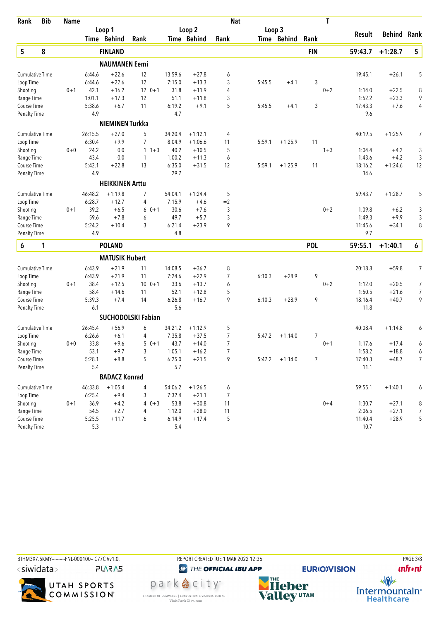| Rank                   | <b>Bib</b> | <b>Name</b> |              |                        |                           |              |                  | <b>Nat</b>     |        |             |                | T       |                  |                    |                |
|------------------------|------------|-------------|--------------|------------------------|---------------------------|--------------|------------------|----------------|--------|-------------|----------------|---------|------------------|--------------------|----------------|
|                        |            |             |              | Loop 1                 |                           |              | Loop 2           |                | Loop 3 |             |                |         |                  | <b>Behind Rank</b> |                |
|                        |            |             |              | Time Behind            | Rank                      |              | Time Behind      | Rank           |        | Time Behind | Rank           |         | Result           |                    |                |
| $\sqrt{5}$             | 8          |             |              | <b>FINLAND</b>         |                           |              |                  |                |        |             | <b>FIN</b>     |         | 59:43.7          | $+1:28.7$          | 5              |
|                        |            |             |              | <b>NAUMANEN Eemi</b>   |                           |              |                  |                |        |             |                |         |                  |                    |                |
| <b>Cumulative Time</b> |            |             | 6:44.6       | $+22.6$                | 12                        | 13:59.6      | $+27.8$          | 6              |        |             |                |         | 19:45.1          | $+26.1$            | 5              |
| Loop Time              |            |             | 6:44.6       | $+22.6$                | 12                        | 7:15.0       | $+13.3$          | 3              | 5:45.5 | $+4.1$      | 3              |         |                  |                    |                |
| Shooting               |            | $0 + 1$     | 42.1         | $+16.2$                | $12 \t 0+1$               | 31.8         | $+11.9$          | $\overline{4}$ |        |             |                | $0 + 2$ | 1:14.0           | $+22.5$            | 8              |
| Range Time             |            |             | 1:01.1       | $+17.3$                | 12                        | 51.1         | $+11.8$          | 3              |        |             |                |         | 1:52.2           | $+23.3$            | 9              |
| Course Time            |            |             | 5:38.6       | $+6.7$                 | 11                        | 6:19.2       | $+9.1$           | 5              | 5:45.5 | $+4.1$      | 3              |         | 17:43.3          | $+7.6$             | 4              |
| <b>Penalty Time</b>    |            |             | 4.9          |                        |                           | 4.7          |                  |                |        |             |                |         | 9.6              |                    |                |
|                        |            |             |              | <b>NIEMINEN Turkka</b> |                           |              |                  |                |        |             |                |         |                  |                    |                |
| <b>Cumulative Time</b> |            |             | 26:15.5      | $+27.0$                | 5                         | 34:20.4      | $+1:12.1$        | 4              |        |             |                |         | 40:19.5          | $+1:25.9$          | 7              |
| Loop Time              |            |             | 6:30.4       | $+9.9$                 | $\overline{7}$            | 8:04.9       | $+1:06.6$        | 11             | 5:59.1 | $+1:25.9$   | 11             |         |                  |                    |                |
| Shooting               |            | $0 + 0$     | 24.2         | 0.0                    | $\mathbf{1}$<br>$1 + 3$   | 40.2         | $+10.5$          | 5              |        |             |                | $1 + 3$ | 1:04.4           | $+4.2$             | 3              |
| Range Time             |            |             | 43.4         | 0.0                    | 1                         | 1:00.2       | $+11.3$          | 6              |        |             |                |         | 1:43.6           | $+4.2$             | 3              |
| Course Time            |            |             | 5:42.1       | $+22.8$                | 13                        | 6:35.0       | $+31.5$          | 12             | 5:59.1 | $+1:25.9$   | 11             |         | 18:16.2          | $+1:24.6$          | 12             |
| <b>Penalty Time</b>    |            |             | 4.9          |                        |                           | 29.7         |                  |                |        |             |                |         | 34.6             |                    |                |
|                        |            |             |              | <b>HEIKKINEN Arttu</b> |                           |              |                  |                |        |             |                |         |                  |                    |                |
| <b>Cumulative Time</b> |            |             | 46:48.2      | $+1:19.8$              | 7                         | 54:04.1      | $+1:24.4$        | 5              |        |             |                |         | 59:43.7          | $+1:28.7$          | 5              |
| Loop Time              |            |             | 6:28.7       | $+12.7$                | 4                         | 7:15.9       | $+4.6$           | $=2$           |        |             |                |         |                  |                    |                |
| Shooting<br>Range Time |            | $0 + 1$     | 39.2<br>59.6 | $+6.5$<br>$+7.8$       | $0 + 1$<br>6<br>6         | 30.6<br>49.7 | $+7.6$<br>$+5.7$ | 3<br>3         |        |             |                | $0 + 2$ | 1:09.8<br>1:49.3 | $+6.2$<br>$+9.9$   | 3<br>3         |
| Course Time            |            |             | 5:24.2       | $+10.4$                | 3                         | 6:21.4       | $+23.9$          | 9              |        |             |                |         | 11:45.6          | $+34.1$            | 8              |
| <b>Penalty Time</b>    |            |             | 4.9          |                        |                           | 4.8          |                  |                |        |             |                |         | 9.7              |                    |                |
| 6                      | 1          |             |              | <b>POLAND</b>          |                           |              |                  |                |        |             | <b>POL</b>     |         | 59:55.1          | $+1:40.1$          | 6              |
|                        |            |             |              | <b>MATUSIK Hubert</b>  |                           |              |                  |                |        |             |                |         |                  |                    |                |
| <b>Cumulative Time</b> |            |             | 6:43.9       | $+21.9$                | 11                        | 14:08.5      | $+36.7$          | 8              |        |             |                |         | 20:18.8          | $+59.8$            | 7              |
| Loop Time              |            |             | 6:43.9       | $+21.9$                | 11                        | 7:24.6       | $+22.9$          | $\overline{7}$ | 6:10.3 | $+28.9$     | 9              |         |                  |                    |                |
| Shooting               |            | $0 + 1$     | 38.4         | $+12.5$                | $100 + 1$                 | 33.6         | $+13.7$          | 6              |        |             |                | $0 + 2$ | 1:12.0           | $+20.5$            | 7              |
| Range Time             |            |             | 58.4         | $+14.6$                | 11                        | 52.1         | $+12.8$          | 5              |        |             |                |         | 1:50.5           | $+21.6$            | $\overline{7}$ |
| Course Time            |            |             | 5:39.3       | $+7.4$                 | 14                        | 6:26.8       | $+16.7$          | 9              | 6:10.3 | $+28.9$     | 9              |         | 18:16.4          | $+40.7$            | 9              |
| Penalty Time           |            |             | 6.1          |                        |                           | 5.6          |                  |                |        |             |                |         | 11.8             |                    |                |
|                        |            |             |              |                        | <b>SUCHODOLSKI Fabian</b> |              |                  |                |        |             |                |         |                  |                    |                |
| <b>Cumulative Time</b> |            |             | 26:45.4      | $+56.9$                | 6                         | 34:21.2      | $+1:12.9$        | 5              |        |             |                |         | 40:08.4          | $+1:14.8$          | 6              |
| Loop Time              |            |             | 6:26.6       | $+6.1$                 | 4                         | 7:35.8       | $+37.5$          | 7              | 5:47.2 | $+1:14.0$   | 7              |         |                  |                    |                |
| Shooting               |            | $0+0$       | 33.8         | $+9.6$                 | $50+1$                    | 43.7         | $+14.0$          | 7              |        |             |                | $0 + 1$ | 1:17.6           | $+17.4$            | 6              |
| Range Time             |            |             | 53.1         | $+9.7$                 | $\sqrt{3}$                | 1:05.1       | $+16.2$          | 7              |        |             |                |         | 1:58.2           | $+18.8$            | 6              |
| Course Time            |            |             | 5:28.1       | $+8.8$                 | 5                         | 6:25.0       | $+21.5$          | 9              | 5:47.2 | $+1:14.0$   | $\overline{7}$ |         | 17:40.3          | $+48.7$            | $\overline{7}$ |
| <b>Penalty Time</b>    |            |             | 5.4          |                        |                           | 5.7          |                  |                |        |             |                |         | 11.1             |                    |                |
|                        |            |             |              | <b>BADACZ Konrad</b>   |                           |              |                  |                |        |             |                |         |                  |                    |                |
| <b>Cumulative Time</b> |            |             | 46:33.8      | $+1:05.4$              | 4                         | 54:06.2      | $+1:26.5$        | 6              |        |             |                |         | 59:55.1          | $+1:40.1$          | 6              |
| Loop Time              |            |             | 6:25.4       | $+9.4$                 | 3                         | 7:32.4       | $+21.1$          | $\overline{7}$ |        |             |                |         |                  |                    |                |
| Shooting               |            | $0 + 1$     | 36.9         | $+4.2$                 | 4<br>$0 + 3$              | 53.8         | $+30.8$          | 11             |        |             |                | $0 + 4$ | 1:30.7           | $+27.1$            | 8              |
| Range Time             |            |             | 54.5         | $+2.7$                 | 4                         | 1:12.0       | $+28.0$          | 11             |        |             |                |         | 2:06.5           | $+27.1$            | $\overline{7}$ |
| Course Time            |            |             | 5:25.5       | $+11.7$                | 6                         | 6:14.9       | $+17.4$          | 5              |        |             |                |         | 11:40.4          | $+28.9$            | 5              |
| <b>Penalty Time</b>    |            |             | 5.3          |                        |                           | 5.4          |                  |                |        |             |                |         | 10.7             |                    |                |



**unfront**  $\frac{1}{\sqrt{2}}$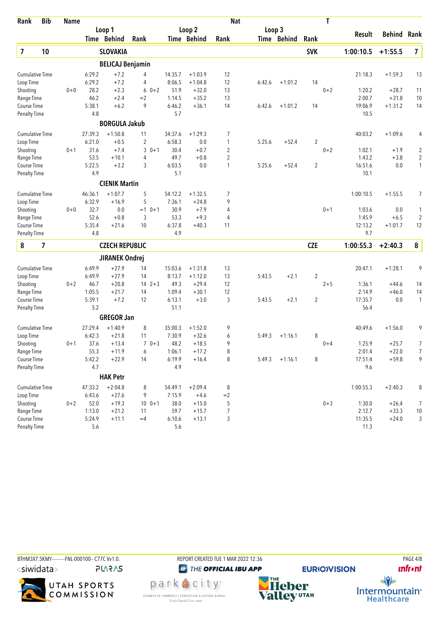| Rank                      | <b>Bib</b> | <b>Name</b> |                  |                         |               |                  |                   | <b>Nat</b>     |        |             |                | T       |                   |                    |                      |
|---------------------------|------------|-------------|------------------|-------------------------|---------------|------------------|-------------------|----------------|--------|-------------|----------------|---------|-------------------|--------------------|----------------------|
|                           |            |             |                  | Loop 1                  |               |                  | Loop <sub>2</sub> |                | Loop 3 |             |                |         | <b>Result</b>     | <b>Behind Rank</b> |                      |
|                           |            |             |                  | Time Behind             | Rank          |                  | Time Behind       | Rank           |        | Time Behind | Rank           |         |                   |                    |                      |
| $\overline{\mathbf{z}}$   | 10         |             |                  | <b>SLOVAKIA</b>         |               |                  |                   |                |        |             | <b>SVK</b>     |         | 1:00:10.5         | $+1:55.5$          | $\overline{7}$       |
|                           |            |             |                  | <b>BELICAJ Benjamin</b> |               |                  |                   |                |        |             |                |         |                   |                    |                      |
| <b>Cumulative Time</b>    |            |             | 6:29.2           | $+7.2$                  | 4             | 14:35.7          | $+1:03.9$         | 12             |        |             |                |         | 21:18.3           | $+1:59.3$          | 13                   |
| Loop Time                 |            |             | 6:29.2           | $+7.2$                  | 4             | 8:06.5           | $+1:04.8$         | 12             | 6:42.6 | $+1:01.2$   | 14             |         |                   |                    |                      |
| Shooting                  |            | $0 + 0$     | 28.2             | $+2.3$                  | $0 + 2$<br>6  | 51.9             | $+32.0$           | 13             |        |             |                | $0 + 2$ | 1:20.2            | $+28.7$            | 11                   |
| Range Time                |            |             | 46.2             | $+2.4$                  | $=2$          | 1:14.5           | $+35.2$           | 13             |        |             |                |         | 2:00.7            | $+31.8$            | 10                   |
| Course Time               |            |             | 5:38.1           | $+6.2$                  | 9             | 6:46.2           | $+36.1$           | 14             | 6:42.6 | $+1:01.2$   | 14             |         | 19:06.9           | $+1:31.2$          | 14                   |
| Penalty Time              |            |             | 4.8              |                         |               | 5.7              |                   |                |        |             |                |         | 10.5              |                    |                      |
|                           |            |             |                  | <b>BORGULA Jakub</b>    |               |                  |                   |                |        |             |                |         |                   |                    |                      |
| <b>Cumulative Time</b>    |            |             | 27:39.3          | $+1:50.8$               | 11            | 34:37.6          | $+1:29.3$         | 7              |        |             |                |         | 40:03.2           | $+1:09.6$          | 4                    |
| Loop Time                 |            |             | 6:21.0           | $+0.5$                  | 2             | 6:58.3           | 0.0               | 1              | 5:25.6 | $+52.4$     | 2              |         |                   |                    |                      |
| Shooting                  |            | $0 + 1$     | 31.6             | $+7.4$                  | 3<br>$0 + 1$  | 30.4             | $+0.7$            | 2              |        |             |                | $0 + 2$ | 1:02.1            | $+1.9$             | $\overline{c}$       |
| Range Time                |            |             | 53.5             | $+10.1$                 | 4             | 49.7             | $+0.8$            | $\overline{2}$ |        |             |                |         | 1:43.2            | $+3.8$             | $\overline{2}$       |
| Course Time               |            |             | 5:22.5           | $+3.2$                  | 3             | 6:03.5           | 0.0               | 1              | 5:25.6 | $+52.4$     | 2              |         | 16:51.6           | 0.0                | $\mathbf{1}$         |
| <b>Penalty Time</b>       |            |             | 4.9              |                         |               | 5.1              |                   |                |        |             |                |         | 10.1              |                    |                      |
|                           |            |             |                  | <b>CIENIK Martin</b>    |               |                  |                   |                |        |             |                |         |                   |                    |                      |
| <b>Cumulative Time</b>    |            |             | 46:36.1          | $+1:07.7$               | 5             | 54:12.2          | $+1:32.5$         | 7              |        |             |                |         | 1:00:10.5         | $+1:55.5$          | 7                    |
| Loop Time                 |            |             | 6:32.9           | $+16.9$                 | 5             | 7:36.1           | $+24.8$           | 9              |        |             |                |         |                   |                    |                      |
| Shooting                  |            | $0 + 0$     | 32.7<br>52.6     | 0.0                     | $=1$ 0+1<br>3 | 30.9<br>53.3     | $+7.9$<br>$+9.3$  | 4              |        |             |                | $0 + 1$ | 1:03.6<br>1:45.9  | 0.0<br>$+6.5$      | 1                    |
| Range Time<br>Course Time |            |             | 5:35.4           | $+0.8$<br>$+21.6$       | 10            | 6:37.8           | $+40.3$           | 4<br>11        |        |             |                |         | 12:13.2           | $+1:01.7$          | $\overline{2}$<br>12 |
| <b>Penalty Time</b>       |            |             | 4.8              |                         |               | 4.9              |                   |                |        |             |                |         | 9.7               |                    |                      |
| 8                         | 7          |             |                  | <b>CZECH REPUBLIC</b>   |               |                  |                   |                |        |             | <b>CZE</b>     |         | 1:00:55.3         | $+2:40.3$          | 8                    |
|                           |            |             |                  |                         |               |                  |                   |                |        |             |                |         |                   |                    |                      |
|                           |            |             |                  | <b>JIRANEK Ondrej</b>   |               |                  |                   |                |        |             |                |         |                   |                    |                      |
| <b>Cumulative Time</b>    |            |             | 6:49.9           | $+27.9$                 | 14            | 15:03.6          | $+1:31.8$         | 13             |        |             |                |         | 20:47.1           | $+1:28.1$          | 9                    |
| Loop Time                 |            |             | 6:49.9           | $+27.9$                 | 14            | 8:13.7           | $+1:12.0$         | 13             | 5:43.5 | $+2.1$      | $\overline{2}$ |         |                   |                    |                      |
| Shooting                  |            | $0 + 2$     | 46.7             | $+20.8$                 | $14 \t2+3$    | 49.3             | $+29.4$           | 12             |        |             |                | $2 + 5$ | 1:36.1            | $+44.6$            | 14                   |
| Range Time<br>Course Time |            |             | 1:05.5<br>5:39.1 | $+21.7$<br>$+7.2$       | 14<br>12      | 1:09.4<br>6:13.1 | $+30.1$<br>$+3.0$ | 12<br>3        | 5:43.5 | $+2.1$      | 2              |         | 2:14.9<br>17:35.7 | $+46.0$<br>0.0     | 14<br>1              |
| <b>Penalty Time</b>       |            |             | 5.2              |                         |               | 51.1             |                   |                |        |             |                |         | 56.4              |                    |                      |
|                           |            |             |                  | <b>GREGOR Jan</b>       |               |                  |                   |                |        |             |                |         |                   |                    |                      |
| <b>Cumulative Time</b>    |            |             | 27:29.4          | $+1:40.9$               | 8             | 35:00.3          | $+1:52.0$         | 9              |        |             |                |         | 40:49.6           | $+1:56.0$          | 9                    |
| Loop Time                 |            |             | 6:42.3           | $+21.8$                 | 11            | 7:30.9           | $+32.6$           | 6              | 5:49.3 | $+1:16.1$   | 8              |         |                   |                    |                      |
| Shooting                  |            | $0 + 1$     | 37.6             | $+13.4$                 | 7<br>$0 + 3$  | 48.2             | $+18.5$           | 9              |        |             |                | $0 + 4$ | 1:25.9            | $+25.7$            | 7                    |
| Range Time                |            |             | 55.3             | $+11.9$                 | 6             | 1:06.1           | $+17.2$           | 8              |        |             |                |         | 2:01.4            | $+22.0$            | 7                    |
| Course Time               |            |             | 5:42.2           | $+22.9$                 | 14            | 6:19.9           | $+16.4$           | 8              | 5:49.3 | $+1:16.1$   | 8              |         | 17:51.4           | $+59.8$            | 9                    |
| <b>Penalty Time</b>       |            |             | 4.7              |                         |               | 4.9              |                   |                |        |             |                |         | 9.6               |                    |                      |
|                           |            |             |                  | <b>HAK Petr</b>         |               |                  |                   |                |        |             |                |         |                   |                    |                      |
| Cumulative Time           |            |             | 47:33.2          | $+2:04.8$               | 8             | 54:49.1          | $+2:09.4$         | 8              |        |             |                |         | 1:00:55.3         | $+2:40.3$          | 8                    |
| Loop Time                 |            |             | 6:43.6           | $+27.6$                 | 9             | 7:15.9           | $+4.6$            | $=2$           |        |             |                |         |                   |                    |                      |
| Shooting                  |            | $0 + 2$     | 52.0             | $+19.3$                 | $10 \t 0+1$   | 38.0             | $+15.0$           | 5              |        |             |                | $0 + 3$ | 1:30.0            | $+26.4$            | $\overline{7}$       |
| Range Time                |            |             | 1:13.0           | $+21.2$                 | 11            | 59.7             | $+15.7$           | 7              |        |             |                |         | 2:12.7            | $+33.3$            | $10$                 |
| Course Time               |            |             | 5:24.9           | $+11.1$                 | $=4$          | 6:10.6           | $+13.1$           | 3              |        |             |                |         | 11:35.5           | $+24.0$            | $\sqrt{3}$           |
| <b>Penalty Time</b>       |            |             | $5.6\,$          |                         |               | 5.6              |                   |                |        |             |                |         | 11.3              |                    |                      |



**unfront**  $\frac{1}{\sqrt{2}}$ Intermountain<sup>®</sup><br>Healthcare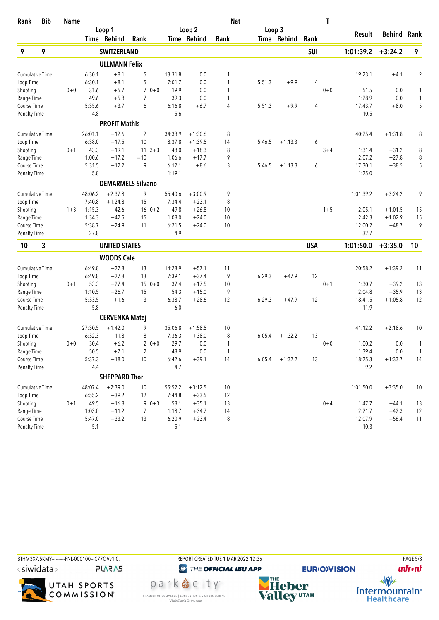| Loop <sub>2</sub><br>Loop 3<br>Loop 1<br><b>Behind Rank</b><br>Result<br>Time Behind<br>Rank<br>Time Behind<br>Time Behind<br>Rank<br>Rank<br>9<br>9<br>9<br><b>SWITZERLAND</b><br>SUI<br>1:01:39.2<br>$+3:24.2$<br><b>ULLMANN Felix</b><br>$+8.1$<br>5<br>0.0<br>19:23.1<br>$\overline{2}$<br><b>Cumulative Time</b><br>6:30.1<br>13:31.8<br>1<br>$+4.1$<br>6:30.1<br>$+8.1$<br>5<br>7:01.7<br>0.0<br>1<br>5:51.3<br>$+9.9$<br>4<br>Loop Time<br>$+5.7$<br>$70+0$<br>19.9<br>Shooting<br>$0 + 0$<br>31.6<br>0.0<br>1<br>$0 + 0$<br>51.5<br>0.0<br>1<br>49.6<br>$+5.8$<br>$\overline{7}$<br>39.3<br>0.0<br>$\mathbf{1}$<br>1:28.9<br>0.0<br>$\mathbf{1}$<br>Range Time<br>5<br>5:35.6<br>$+3.7$<br>6<br>6:16.8<br>4<br>$+9.9$<br>4<br>17:43.7<br>Course Time<br>$+6.7$<br>5:51.3<br>$+8.0$<br>4.8<br>5.6<br><b>Penalty Time</b><br>10.5<br><b>PROFIT Mathis</b><br>26:01.1<br>$+12.6$<br>$\overline{2}$<br>34:38.9<br>8<br>$+1:31.8$<br>8<br><b>Cumulative Time</b><br>$+1:30.6$<br>40:25.4<br>6:38.0<br>$+17.5$<br>10<br>8:37.8<br>$+1:39.5$<br>Loop Time<br>14<br>5:46.5<br>$+1:13.3$<br>6<br>43.3<br>48.0<br>$+18.3$<br>8<br>8<br>Shooting<br>$0 + 1$<br>$+19.1$<br>$11 \t3+3$<br>$3 + 4$<br>1:31.4<br>$+31.2$<br>1:00.6<br>9<br>2:07.2<br>8<br>Range Time<br>$+17.2$<br>$=10$<br>1:06.6<br>$+17.7$<br>$+27.8$<br>9<br>3<br>5<br>5:31.5<br>6:12.1<br>Course Time<br>$+12.2$<br>$+8.6$<br>5:46.5<br>$+1:13.3$<br>6<br>17:30.1<br>$+38.5$<br>5.8<br>1:19.1<br>1:25.0<br><b>Penalty Time</b><br><b>DEMARMELS Silvano</b><br><b>Cumulative Time</b><br>48:06.2<br>$+2:37.8$<br>9<br>55:40.6<br>$+3:00.9$<br>9<br>1:01:39.2<br>$+3:24.2$<br>9<br>7:40.8<br>$+1:24.8$<br>7:34.4<br>$+23.1$<br>8<br>Loop Time<br>15<br>1:15.3<br>$16 \t 0+2$<br>49.8<br>Shooting<br>$1 + 3$<br>$+42.6$<br>$+26.8$<br>10<br>$1 + 5$<br>2:05.1<br>$+1:01.5$<br>15<br>1:08.0<br>10<br>2:42.3<br>Range Time<br>1:34.3<br>$+42.5$<br>15<br>$+24.0$<br>$+1:02.9$<br>15<br>9<br>5:38.7<br>12:00.2<br>Course Time<br>$+24.9$<br>11<br>6:21.5<br>$+24.0$<br>10<br>$+48.7$<br>4.9<br>32.7<br><b>Penalty Time</b><br>27.8<br>3<br><b>USA</b><br>10<br><b>UNITED STATES</b><br>1:01:50.0<br>$+3:35.0$<br>10<br><b>WOODS Cale</b><br>$+27.8$<br>14:28.9<br><b>Cumulative Time</b><br>6:49.8<br>13<br>$+57.1$<br>11<br>20:58.2<br>$+1:39.2$<br>11<br>Loop Time<br>6:49.8<br>7:39.1<br>9<br>6:29.3<br>12<br>$+27.8$<br>13<br>$+37.4$<br>$+47.9$<br>53.3<br>$+27.4$<br>$150+0$<br>37.4<br>10<br>$0 + 1$<br>13<br>Shooting<br>$0 + 1$<br>$+17.5$<br>1:30.7<br>$+39.2$<br>1:10.5<br>15<br>54.3<br>9<br>2:04.8<br>$+35.9$<br>13<br>$+26.7$<br>$+15.0$<br>Range Time<br>5:33.5<br>3<br>6:38.7<br>12<br>6:29.3<br>$+47.9$<br>12<br>12<br>Course Time<br>$+1.6$<br>$+28.6$<br>18:41.5<br>$+1:05.8$<br>5.8<br>6.0<br>11.9<br><b>Penalty Time</b><br><b>CERVENKA Matej</b><br><b>Cumulative Time</b><br>$+1:42.0$<br>9<br>$+2:18.6$<br>27:30.5<br>35:06.8<br>$+1:58.5$<br>10<br>41:12.2<br>10<br>6:32.3<br>8<br>7:36.3<br>8<br>13<br>Loop Time<br>$+11.8$<br>$+38.0$<br>6:05.4<br>$+1:32.2$<br>29.7<br>1:00.2<br>Shooting<br>30.4<br>$+6.2$<br>2<br>$0 + 0$<br>0.0<br>$0 + 0$<br>0.0<br>$0+0$<br>1<br>$\overline{2}$<br>$0.0\,$<br>Range Time<br>$50.5\,$<br>$+7.1$<br>48.9<br>$0.0\,$<br>1:39.4<br>$\mathbf{1}$<br>$\mathbf{1}$<br>14<br>Course Time<br>5:37.3<br>$+18.0$<br>10<br>6:42.6<br>$+39.1$<br>$+1:32.2$<br>13<br>18:25.3<br>$+1:33.7$<br>14<br>6:05.4<br>4.4<br>4.7<br>9.2<br><b>Penalty Time</b><br><b>SHEPPARD Thor</b><br>$+2:39.0$<br>10<br>$+3:35.0$<br><b>Cumulative Time</b><br>48:07.4<br>10<br>55:52.2<br>$+3:12.5$<br>1:01:50.0<br>10<br>Loop Time<br>6:55.2<br>$+39.2$<br>7:44.8<br>12<br>12<br>$+33.5$<br>49.5<br>Shooting<br>$90+3$<br>58.1<br>$+35.1$<br>13<br>$0 + 4$<br>$0 + 1$<br>$+16.8$<br>1:47.7<br>$+44.1$<br>13<br>1:03.0<br>1:18.7<br>14<br>2:21.7<br>$+42.3$<br>12<br>Range Time<br>$+11.2$<br>7<br>$+34.7$<br>Course Time<br>5:47.0<br>$+33.2$<br>6:20.9<br>$+23.4$<br>8<br>12:07.9<br>$+56.4$<br>11<br>13<br><b>Penalty Time</b><br>5.1<br>5.1<br>10.3 | Rank | <b>Bib</b> | <b>Name</b> |  |  | <b>Nat</b> |  | T |  |  |
|-------------------------------------------------------------------------------------------------------------------------------------------------------------------------------------------------------------------------------------------------------------------------------------------------------------------------------------------------------------------------------------------------------------------------------------------------------------------------------------------------------------------------------------------------------------------------------------------------------------------------------------------------------------------------------------------------------------------------------------------------------------------------------------------------------------------------------------------------------------------------------------------------------------------------------------------------------------------------------------------------------------------------------------------------------------------------------------------------------------------------------------------------------------------------------------------------------------------------------------------------------------------------------------------------------------------------------------------------------------------------------------------------------------------------------------------------------------------------------------------------------------------------------------------------------------------------------------------------------------------------------------------------------------------------------------------------------------------------------------------------------------------------------------------------------------------------------------------------------------------------------------------------------------------------------------------------------------------------------------------------------------------------------------------------------------------------------------------------------------------------------------------------------------------------------------------------------------------------------------------------------------------------------------------------------------------------------------------------------------------------------------------------------------------------------------------------------------------------------------------------------------------------------------------------------------------------------------------------------------------------------------------------------------------------------------------------------------------------------------------------------------------------------------------------------------------------------------------------------------------------------------------------------------------------------------------------------------------------------------------------------------------------------------------------------------------------------------------------------------------------------------------------------------------------------------------------------------------------------------------------------------------------------------------------------------------------------------------------------------------------------------------------------------------------------------------------------------------------------------------------------------------------------------------------------------------------------------------------------------------------------------------------------------------------------------------------------------------------------------------------------------------------------------------------------------------------------------------------------------------------------------------------------------------------------------------------------------------------------------------------------------------------------------------------|------|------------|-------------|--|--|------------|--|---|--|--|
|                                                                                                                                                                                                                                                                                                                                                                                                                                                                                                                                                                                                                                                                                                                                                                                                                                                                                                                                                                                                                                                                                                                                                                                                                                                                                                                                                                                                                                                                                                                                                                                                                                                                                                                                                                                                                                                                                                                                                                                                                                                                                                                                                                                                                                                                                                                                                                                                                                                                                                                                                                                                                                                                                                                                                                                                                                                                                                                                                                                                                                                                                                                                                                                                                                                                                                                                                                                                                                                                                                                                                                                                                                                                                                                                                                                                                                                                                                                                                                                                                                                 |      |            |             |  |  |            |  |   |  |  |
|                                                                                                                                                                                                                                                                                                                                                                                                                                                                                                                                                                                                                                                                                                                                                                                                                                                                                                                                                                                                                                                                                                                                                                                                                                                                                                                                                                                                                                                                                                                                                                                                                                                                                                                                                                                                                                                                                                                                                                                                                                                                                                                                                                                                                                                                                                                                                                                                                                                                                                                                                                                                                                                                                                                                                                                                                                                                                                                                                                                                                                                                                                                                                                                                                                                                                                                                                                                                                                                                                                                                                                                                                                                                                                                                                                                                                                                                                                                                                                                                                                                 |      |            |             |  |  |            |  |   |  |  |
|                                                                                                                                                                                                                                                                                                                                                                                                                                                                                                                                                                                                                                                                                                                                                                                                                                                                                                                                                                                                                                                                                                                                                                                                                                                                                                                                                                                                                                                                                                                                                                                                                                                                                                                                                                                                                                                                                                                                                                                                                                                                                                                                                                                                                                                                                                                                                                                                                                                                                                                                                                                                                                                                                                                                                                                                                                                                                                                                                                                                                                                                                                                                                                                                                                                                                                                                                                                                                                                                                                                                                                                                                                                                                                                                                                                                                                                                                                                                                                                                                                                 |      |            |             |  |  |            |  |   |  |  |
|                                                                                                                                                                                                                                                                                                                                                                                                                                                                                                                                                                                                                                                                                                                                                                                                                                                                                                                                                                                                                                                                                                                                                                                                                                                                                                                                                                                                                                                                                                                                                                                                                                                                                                                                                                                                                                                                                                                                                                                                                                                                                                                                                                                                                                                                                                                                                                                                                                                                                                                                                                                                                                                                                                                                                                                                                                                                                                                                                                                                                                                                                                                                                                                                                                                                                                                                                                                                                                                                                                                                                                                                                                                                                                                                                                                                                                                                                                                                                                                                                                                 |      |            |             |  |  |            |  |   |  |  |
|                                                                                                                                                                                                                                                                                                                                                                                                                                                                                                                                                                                                                                                                                                                                                                                                                                                                                                                                                                                                                                                                                                                                                                                                                                                                                                                                                                                                                                                                                                                                                                                                                                                                                                                                                                                                                                                                                                                                                                                                                                                                                                                                                                                                                                                                                                                                                                                                                                                                                                                                                                                                                                                                                                                                                                                                                                                                                                                                                                                                                                                                                                                                                                                                                                                                                                                                                                                                                                                                                                                                                                                                                                                                                                                                                                                                                                                                                                                                                                                                                                                 |      |            |             |  |  |            |  |   |  |  |
| 1                                                                                                                                                                                                                                                                                                                                                                                                                                                                                                                                                                                                                                                                                                                                                                                                                                                                                                                                                                                                                                                                                                                                                                                                                                                                                                                                                                                                                                                                                                                                                                                                                                                                                                                                                                                                                                                                                                                                                                                                                                                                                                                                                                                                                                                                                                                                                                                                                                                                                                                                                                                                                                                                                                                                                                                                                                                                                                                                                                                                                                                                                                                                                                                                                                                                                                                                                                                                                                                                                                                                                                                                                                                                                                                                                                                                                                                                                                                                                                                                                                               |      |            |             |  |  |            |  |   |  |  |
|                                                                                                                                                                                                                                                                                                                                                                                                                                                                                                                                                                                                                                                                                                                                                                                                                                                                                                                                                                                                                                                                                                                                                                                                                                                                                                                                                                                                                                                                                                                                                                                                                                                                                                                                                                                                                                                                                                                                                                                                                                                                                                                                                                                                                                                                                                                                                                                                                                                                                                                                                                                                                                                                                                                                                                                                                                                                                                                                                                                                                                                                                                                                                                                                                                                                                                                                                                                                                                                                                                                                                                                                                                                                                                                                                                                                                                                                                                                                                                                                                                                 |      |            |             |  |  |            |  |   |  |  |
|                                                                                                                                                                                                                                                                                                                                                                                                                                                                                                                                                                                                                                                                                                                                                                                                                                                                                                                                                                                                                                                                                                                                                                                                                                                                                                                                                                                                                                                                                                                                                                                                                                                                                                                                                                                                                                                                                                                                                                                                                                                                                                                                                                                                                                                                                                                                                                                                                                                                                                                                                                                                                                                                                                                                                                                                                                                                                                                                                                                                                                                                                                                                                                                                                                                                                                                                                                                                                                                                                                                                                                                                                                                                                                                                                                                                                                                                                                                                                                                                                                                 |      |            |             |  |  |            |  |   |  |  |
|                                                                                                                                                                                                                                                                                                                                                                                                                                                                                                                                                                                                                                                                                                                                                                                                                                                                                                                                                                                                                                                                                                                                                                                                                                                                                                                                                                                                                                                                                                                                                                                                                                                                                                                                                                                                                                                                                                                                                                                                                                                                                                                                                                                                                                                                                                                                                                                                                                                                                                                                                                                                                                                                                                                                                                                                                                                                                                                                                                                                                                                                                                                                                                                                                                                                                                                                                                                                                                                                                                                                                                                                                                                                                                                                                                                                                                                                                                                                                                                                                                                 |      |            |             |  |  |            |  |   |  |  |
|                                                                                                                                                                                                                                                                                                                                                                                                                                                                                                                                                                                                                                                                                                                                                                                                                                                                                                                                                                                                                                                                                                                                                                                                                                                                                                                                                                                                                                                                                                                                                                                                                                                                                                                                                                                                                                                                                                                                                                                                                                                                                                                                                                                                                                                                                                                                                                                                                                                                                                                                                                                                                                                                                                                                                                                                                                                                                                                                                                                                                                                                                                                                                                                                                                                                                                                                                                                                                                                                                                                                                                                                                                                                                                                                                                                                                                                                                                                                                                                                                                                 |      |            |             |  |  |            |  |   |  |  |
|                                                                                                                                                                                                                                                                                                                                                                                                                                                                                                                                                                                                                                                                                                                                                                                                                                                                                                                                                                                                                                                                                                                                                                                                                                                                                                                                                                                                                                                                                                                                                                                                                                                                                                                                                                                                                                                                                                                                                                                                                                                                                                                                                                                                                                                                                                                                                                                                                                                                                                                                                                                                                                                                                                                                                                                                                                                                                                                                                                                                                                                                                                                                                                                                                                                                                                                                                                                                                                                                                                                                                                                                                                                                                                                                                                                                                                                                                                                                                                                                                                                 |      |            |             |  |  |            |  |   |  |  |
|                                                                                                                                                                                                                                                                                                                                                                                                                                                                                                                                                                                                                                                                                                                                                                                                                                                                                                                                                                                                                                                                                                                                                                                                                                                                                                                                                                                                                                                                                                                                                                                                                                                                                                                                                                                                                                                                                                                                                                                                                                                                                                                                                                                                                                                                                                                                                                                                                                                                                                                                                                                                                                                                                                                                                                                                                                                                                                                                                                                                                                                                                                                                                                                                                                                                                                                                                                                                                                                                                                                                                                                                                                                                                                                                                                                                                                                                                                                                                                                                                                                 |      |            |             |  |  |            |  |   |  |  |
|                                                                                                                                                                                                                                                                                                                                                                                                                                                                                                                                                                                                                                                                                                                                                                                                                                                                                                                                                                                                                                                                                                                                                                                                                                                                                                                                                                                                                                                                                                                                                                                                                                                                                                                                                                                                                                                                                                                                                                                                                                                                                                                                                                                                                                                                                                                                                                                                                                                                                                                                                                                                                                                                                                                                                                                                                                                                                                                                                                                                                                                                                                                                                                                                                                                                                                                                                                                                                                                                                                                                                                                                                                                                                                                                                                                                                                                                                                                                                                                                                                                 |      |            |             |  |  |            |  |   |  |  |
|                                                                                                                                                                                                                                                                                                                                                                                                                                                                                                                                                                                                                                                                                                                                                                                                                                                                                                                                                                                                                                                                                                                                                                                                                                                                                                                                                                                                                                                                                                                                                                                                                                                                                                                                                                                                                                                                                                                                                                                                                                                                                                                                                                                                                                                                                                                                                                                                                                                                                                                                                                                                                                                                                                                                                                                                                                                                                                                                                                                                                                                                                                                                                                                                                                                                                                                                                                                                                                                                                                                                                                                                                                                                                                                                                                                                                                                                                                                                                                                                                                                 |      |            |             |  |  |            |  |   |  |  |
|                                                                                                                                                                                                                                                                                                                                                                                                                                                                                                                                                                                                                                                                                                                                                                                                                                                                                                                                                                                                                                                                                                                                                                                                                                                                                                                                                                                                                                                                                                                                                                                                                                                                                                                                                                                                                                                                                                                                                                                                                                                                                                                                                                                                                                                                                                                                                                                                                                                                                                                                                                                                                                                                                                                                                                                                                                                                                                                                                                                                                                                                                                                                                                                                                                                                                                                                                                                                                                                                                                                                                                                                                                                                                                                                                                                                                                                                                                                                                                                                                                                 |      |            |             |  |  |            |  |   |  |  |
|                                                                                                                                                                                                                                                                                                                                                                                                                                                                                                                                                                                                                                                                                                                                                                                                                                                                                                                                                                                                                                                                                                                                                                                                                                                                                                                                                                                                                                                                                                                                                                                                                                                                                                                                                                                                                                                                                                                                                                                                                                                                                                                                                                                                                                                                                                                                                                                                                                                                                                                                                                                                                                                                                                                                                                                                                                                                                                                                                                                                                                                                                                                                                                                                                                                                                                                                                                                                                                                                                                                                                                                                                                                                                                                                                                                                                                                                                                                                                                                                                                                 |      |            |             |  |  |            |  |   |  |  |
|                                                                                                                                                                                                                                                                                                                                                                                                                                                                                                                                                                                                                                                                                                                                                                                                                                                                                                                                                                                                                                                                                                                                                                                                                                                                                                                                                                                                                                                                                                                                                                                                                                                                                                                                                                                                                                                                                                                                                                                                                                                                                                                                                                                                                                                                                                                                                                                                                                                                                                                                                                                                                                                                                                                                                                                                                                                                                                                                                                                                                                                                                                                                                                                                                                                                                                                                                                                                                                                                                                                                                                                                                                                                                                                                                                                                                                                                                                                                                                                                                                                 |      |            |             |  |  |            |  |   |  |  |
|                                                                                                                                                                                                                                                                                                                                                                                                                                                                                                                                                                                                                                                                                                                                                                                                                                                                                                                                                                                                                                                                                                                                                                                                                                                                                                                                                                                                                                                                                                                                                                                                                                                                                                                                                                                                                                                                                                                                                                                                                                                                                                                                                                                                                                                                                                                                                                                                                                                                                                                                                                                                                                                                                                                                                                                                                                                                                                                                                                                                                                                                                                                                                                                                                                                                                                                                                                                                                                                                                                                                                                                                                                                                                                                                                                                                                                                                                                                                                                                                                                                 |      |            |             |  |  |            |  |   |  |  |
|                                                                                                                                                                                                                                                                                                                                                                                                                                                                                                                                                                                                                                                                                                                                                                                                                                                                                                                                                                                                                                                                                                                                                                                                                                                                                                                                                                                                                                                                                                                                                                                                                                                                                                                                                                                                                                                                                                                                                                                                                                                                                                                                                                                                                                                                                                                                                                                                                                                                                                                                                                                                                                                                                                                                                                                                                                                                                                                                                                                                                                                                                                                                                                                                                                                                                                                                                                                                                                                                                                                                                                                                                                                                                                                                                                                                                                                                                                                                                                                                                                                 |      |            |             |  |  |            |  |   |  |  |
|                                                                                                                                                                                                                                                                                                                                                                                                                                                                                                                                                                                                                                                                                                                                                                                                                                                                                                                                                                                                                                                                                                                                                                                                                                                                                                                                                                                                                                                                                                                                                                                                                                                                                                                                                                                                                                                                                                                                                                                                                                                                                                                                                                                                                                                                                                                                                                                                                                                                                                                                                                                                                                                                                                                                                                                                                                                                                                                                                                                                                                                                                                                                                                                                                                                                                                                                                                                                                                                                                                                                                                                                                                                                                                                                                                                                                                                                                                                                                                                                                                                 |      |            |             |  |  |            |  |   |  |  |
|                                                                                                                                                                                                                                                                                                                                                                                                                                                                                                                                                                                                                                                                                                                                                                                                                                                                                                                                                                                                                                                                                                                                                                                                                                                                                                                                                                                                                                                                                                                                                                                                                                                                                                                                                                                                                                                                                                                                                                                                                                                                                                                                                                                                                                                                                                                                                                                                                                                                                                                                                                                                                                                                                                                                                                                                                                                                                                                                                                                                                                                                                                                                                                                                                                                                                                                                                                                                                                                                                                                                                                                                                                                                                                                                                                                                                                                                                                                                                                                                                                                 |      |            |             |  |  |            |  |   |  |  |
|                                                                                                                                                                                                                                                                                                                                                                                                                                                                                                                                                                                                                                                                                                                                                                                                                                                                                                                                                                                                                                                                                                                                                                                                                                                                                                                                                                                                                                                                                                                                                                                                                                                                                                                                                                                                                                                                                                                                                                                                                                                                                                                                                                                                                                                                                                                                                                                                                                                                                                                                                                                                                                                                                                                                                                                                                                                                                                                                                                                                                                                                                                                                                                                                                                                                                                                                                                                                                                                                                                                                                                                                                                                                                                                                                                                                                                                                                                                                                                                                                                                 |      |            |             |  |  |            |  |   |  |  |
|                                                                                                                                                                                                                                                                                                                                                                                                                                                                                                                                                                                                                                                                                                                                                                                                                                                                                                                                                                                                                                                                                                                                                                                                                                                                                                                                                                                                                                                                                                                                                                                                                                                                                                                                                                                                                                                                                                                                                                                                                                                                                                                                                                                                                                                                                                                                                                                                                                                                                                                                                                                                                                                                                                                                                                                                                                                                                                                                                                                                                                                                                                                                                                                                                                                                                                                                                                                                                                                                                                                                                                                                                                                                                                                                                                                                                                                                                                                                                                                                                                                 |      |            |             |  |  |            |  |   |  |  |
|                                                                                                                                                                                                                                                                                                                                                                                                                                                                                                                                                                                                                                                                                                                                                                                                                                                                                                                                                                                                                                                                                                                                                                                                                                                                                                                                                                                                                                                                                                                                                                                                                                                                                                                                                                                                                                                                                                                                                                                                                                                                                                                                                                                                                                                                                                                                                                                                                                                                                                                                                                                                                                                                                                                                                                                                                                                                                                                                                                                                                                                                                                                                                                                                                                                                                                                                                                                                                                                                                                                                                                                                                                                                                                                                                                                                                                                                                                                                                                                                                                                 |      |            |             |  |  |            |  |   |  |  |
|                                                                                                                                                                                                                                                                                                                                                                                                                                                                                                                                                                                                                                                                                                                                                                                                                                                                                                                                                                                                                                                                                                                                                                                                                                                                                                                                                                                                                                                                                                                                                                                                                                                                                                                                                                                                                                                                                                                                                                                                                                                                                                                                                                                                                                                                                                                                                                                                                                                                                                                                                                                                                                                                                                                                                                                                                                                                                                                                                                                                                                                                                                                                                                                                                                                                                                                                                                                                                                                                                                                                                                                                                                                                                                                                                                                                                                                                                                                                                                                                                                                 |      |            |             |  |  |            |  |   |  |  |
|                                                                                                                                                                                                                                                                                                                                                                                                                                                                                                                                                                                                                                                                                                                                                                                                                                                                                                                                                                                                                                                                                                                                                                                                                                                                                                                                                                                                                                                                                                                                                                                                                                                                                                                                                                                                                                                                                                                                                                                                                                                                                                                                                                                                                                                                                                                                                                                                                                                                                                                                                                                                                                                                                                                                                                                                                                                                                                                                                                                                                                                                                                                                                                                                                                                                                                                                                                                                                                                                                                                                                                                                                                                                                                                                                                                                                                                                                                                                                                                                                                                 |      |            |             |  |  |            |  |   |  |  |
|                                                                                                                                                                                                                                                                                                                                                                                                                                                                                                                                                                                                                                                                                                                                                                                                                                                                                                                                                                                                                                                                                                                                                                                                                                                                                                                                                                                                                                                                                                                                                                                                                                                                                                                                                                                                                                                                                                                                                                                                                                                                                                                                                                                                                                                                                                                                                                                                                                                                                                                                                                                                                                                                                                                                                                                                                                                                                                                                                                                                                                                                                                                                                                                                                                                                                                                                                                                                                                                                                                                                                                                                                                                                                                                                                                                                                                                                                                                                                                                                                                                 |      |            |             |  |  |            |  |   |  |  |
|                                                                                                                                                                                                                                                                                                                                                                                                                                                                                                                                                                                                                                                                                                                                                                                                                                                                                                                                                                                                                                                                                                                                                                                                                                                                                                                                                                                                                                                                                                                                                                                                                                                                                                                                                                                                                                                                                                                                                                                                                                                                                                                                                                                                                                                                                                                                                                                                                                                                                                                                                                                                                                                                                                                                                                                                                                                                                                                                                                                                                                                                                                                                                                                                                                                                                                                                                                                                                                                                                                                                                                                                                                                                                                                                                                                                                                                                                                                                                                                                                                                 |      |            |             |  |  |            |  |   |  |  |
|                                                                                                                                                                                                                                                                                                                                                                                                                                                                                                                                                                                                                                                                                                                                                                                                                                                                                                                                                                                                                                                                                                                                                                                                                                                                                                                                                                                                                                                                                                                                                                                                                                                                                                                                                                                                                                                                                                                                                                                                                                                                                                                                                                                                                                                                                                                                                                                                                                                                                                                                                                                                                                                                                                                                                                                                                                                                                                                                                                                                                                                                                                                                                                                                                                                                                                                                                                                                                                                                                                                                                                                                                                                                                                                                                                                                                                                                                                                                                                                                                                                 |      |            |             |  |  |            |  |   |  |  |
|                                                                                                                                                                                                                                                                                                                                                                                                                                                                                                                                                                                                                                                                                                                                                                                                                                                                                                                                                                                                                                                                                                                                                                                                                                                                                                                                                                                                                                                                                                                                                                                                                                                                                                                                                                                                                                                                                                                                                                                                                                                                                                                                                                                                                                                                                                                                                                                                                                                                                                                                                                                                                                                                                                                                                                                                                                                                                                                                                                                                                                                                                                                                                                                                                                                                                                                                                                                                                                                                                                                                                                                                                                                                                                                                                                                                                                                                                                                                                                                                                                                 |      |            |             |  |  |            |  |   |  |  |
|                                                                                                                                                                                                                                                                                                                                                                                                                                                                                                                                                                                                                                                                                                                                                                                                                                                                                                                                                                                                                                                                                                                                                                                                                                                                                                                                                                                                                                                                                                                                                                                                                                                                                                                                                                                                                                                                                                                                                                                                                                                                                                                                                                                                                                                                                                                                                                                                                                                                                                                                                                                                                                                                                                                                                                                                                                                                                                                                                                                                                                                                                                                                                                                                                                                                                                                                                                                                                                                                                                                                                                                                                                                                                                                                                                                                                                                                                                                                                                                                                                                 |      |            |             |  |  |            |  |   |  |  |
|                                                                                                                                                                                                                                                                                                                                                                                                                                                                                                                                                                                                                                                                                                                                                                                                                                                                                                                                                                                                                                                                                                                                                                                                                                                                                                                                                                                                                                                                                                                                                                                                                                                                                                                                                                                                                                                                                                                                                                                                                                                                                                                                                                                                                                                                                                                                                                                                                                                                                                                                                                                                                                                                                                                                                                                                                                                                                                                                                                                                                                                                                                                                                                                                                                                                                                                                                                                                                                                                                                                                                                                                                                                                                                                                                                                                                                                                                                                                                                                                                                                 |      |            |             |  |  |            |  |   |  |  |
|                                                                                                                                                                                                                                                                                                                                                                                                                                                                                                                                                                                                                                                                                                                                                                                                                                                                                                                                                                                                                                                                                                                                                                                                                                                                                                                                                                                                                                                                                                                                                                                                                                                                                                                                                                                                                                                                                                                                                                                                                                                                                                                                                                                                                                                                                                                                                                                                                                                                                                                                                                                                                                                                                                                                                                                                                                                                                                                                                                                                                                                                                                                                                                                                                                                                                                                                                                                                                                                                                                                                                                                                                                                                                                                                                                                                                                                                                                                                                                                                                                                 |      |            |             |  |  |            |  |   |  |  |
|                                                                                                                                                                                                                                                                                                                                                                                                                                                                                                                                                                                                                                                                                                                                                                                                                                                                                                                                                                                                                                                                                                                                                                                                                                                                                                                                                                                                                                                                                                                                                                                                                                                                                                                                                                                                                                                                                                                                                                                                                                                                                                                                                                                                                                                                                                                                                                                                                                                                                                                                                                                                                                                                                                                                                                                                                                                                                                                                                                                                                                                                                                                                                                                                                                                                                                                                                                                                                                                                                                                                                                                                                                                                                                                                                                                                                                                                                                                                                                                                                                                 |      |            |             |  |  |            |  |   |  |  |
|                                                                                                                                                                                                                                                                                                                                                                                                                                                                                                                                                                                                                                                                                                                                                                                                                                                                                                                                                                                                                                                                                                                                                                                                                                                                                                                                                                                                                                                                                                                                                                                                                                                                                                                                                                                                                                                                                                                                                                                                                                                                                                                                                                                                                                                                                                                                                                                                                                                                                                                                                                                                                                                                                                                                                                                                                                                                                                                                                                                                                                                                                                                                                                                                                                                                                                                                                                                                                                                                                                                                                                                                                                                                                                                                                                                                                                                                                                                                                                                                                                                 |      |            |             |  |  |            |  |   |  |  |
|                                                                                                                                                                                                                                                                                                                                                                                                                                                                                                                                                                                                                                                                                                                                                                                                                                                                                                                                                                                                                                                                                                                                                                                                                                                                                                                                                                                                                                                                                                                                                                                                                                                                                                                                                                                                                                                                                                                                                                                                                                                                                                                                                                                                                                                                                                                                                                                                                                                                                                                                                                                                                                                                                                                                                                                                                                                                                                                                                                                                                                                                                                                                                                                                                                                                                                                                                                                                                                                                                                                                                                                                                                                                                                                                                                                                                                                                                                                                                                                                                                                 |      |            |             |  |  |            |  |   |  |  |
|                                                                                                                                                                                                                                                                                                                                                                                                                                                                                                                                                                                                                                                                                                                                                                                                                                                                                                                                                                                                                                                                                                                                                                                                                                                                                                                                                                                                                                                                                                                                                                                                                                                                                                                                                                                                                                                                                                                                                                                                                                                                                                                                                                                                                                                                                                                                                                                                                                                                                                                                                                                                                                                                                                                                                                                                                                                                                                                                                                                                                                                                                                                                                                                                                                                                                                                                                                                                                                                                                                                                                                                                                                                                                                                                                                                                                                                                                                                                                                                                                                                 |      |            |             |  |  |            |  |   |  |  |
|                                                                                                                                                                                                                                                                                                                                                                                                                                                                                                                                                                                                                                                                                                                                                                                                                                                                                                                                                                                                                                                                                                                                                                                                                                                                                                                                                                                                                                                                                                                                                                                                                                                                                                                                                                                                                                                                                                                                                                                                                                                                                                                                                                                                                                                                                                                                                                                                                                                                                                                                                                                                                                                                                                                                                                                                                                                                                                                                                                                                                                                                                                                                                                                                                                                                                                                                                                                                                                                                                                                                                                                                                                                                                                                                                                                                                                                                                                                                                                                                                                                 |      |            |             |  |  |            |  |   |  |  |
|                                                                                                                                                                                                                                                                                                                                                                                                                                                                                                                                                                                                                                                                                                                                                                                                                                                                                                                                                                                                                                                                                                                                                                                                                                                                                                                                                                                                                                                                                                                                                                                                                                                                                                                                                                                                                                                                                                                                                                                                                                                                                                                                                                                                                                                                                                                                                                                                                                                                                                                                                                                                                                                                                                                                                                                                                                                                                                                                                                                                                                                                                                                                                                                                                                                                                                                                                                                                                                                                                                                                                                                                                                                                                                                                                                                                                                                                                                                                                                                                                                                 |      |            |             |  |  |            |  |   |  |  |
|                                                                                                                                                                                                                                                                                                                                                                                                                                                                                                                                                                                                                                                                                                                                                                                                                                                                                                                                                                                                                                                                                                                                                                                                                                                                                                                                                                                                                                                                                                                                                                                                                                                                                                                                                                                                                                                                                                                                                                                                                                                                                                                                                                                                                                                                                                                                                                                                                                                                                                                                                                                                                                                                                                                                                                                                                                                                                                                                                                                                                                                                                                                                                                                                                                                                                                                                                                                                                                                                                                                                                                                                                                                                                                                                                                                                                                                                                                                                                                                                                                                 |      |            |             |  |  |            |  |   |  |  |
|                                                                                                                                                                                                                                                                                                                                                                                                                                                                                                                                                                                                                                                                                                                                                                                                                                                                                                                                                                                                                                                                                                                                                                                                                                                                                                                                                                                                                                                                                                                                                                                                                                                                                                                                                                                                                                                                                                                                                                                                                                                                                                                                                                                                                                                                                                                                                                                                                                                                                                                                                                                                                                                                                                                                                                                                                                                                                                                                                                                                                                                                                                                                                                                                                                                                                                                                                                                                                                                                                                                                                                                                                                                                                                                                                                                                                                                                                                                                                                                                                                                 |      |            |             |  |  |            |  |   |  |  |
|                                                                                                                                                                                                                                                                                                                                                                                                                                                                                                                                                                                                                                                                                                                                                                                                                                                                                                                                                                                                                                                                                                                                                                                                                                                                                                                                                                                                                                                                                                                                                                                                                                                                                                                                                                                                                                                                                                                                                                                                                                                                                                                                                                                                                                                                                                                                                                                                                                                                                                                                                                                                                                                                                                                                                                                                                                                                                                                                                                                                                                                                                                                                                                                                                                                                                                                                                                                                                                                                                                                                                                                                                                                                                                                                                                                                                                                                                                                                                                                                                                                 |      |            |             |  |  |            |  |   |  |  |
|                                                                                                                                                                                                                                                                                                                                                                                                                                                                                                                                                                                                                                                                                                                                                                                                                                                                                                                                                                                                                                                                                                                                                                                                                                                                                                                                                                                                                                                                                                                                                                                                                                                                                                                                                                                                                                                                                                                                                                                                                                                                                                                                                                                                                                                                                                                                                                                                                                                                                                                                                                                                                                                                                                                                                                                                                                                                                                                                                                                                                                                                                                                                                                                                                                                                                                                                                                                                                                                                                                                                                                                                                                                                                                                                                                                                                                                                                                                                                                                                                                                 |      |            |             |  |  |            |  |   |  |  |
|                                                                                                                                                                                                                                                                                                                                                                                                                                                                                                                                                                                                                                                                                                                                                                                                                                                                                                                                                                                                                                                                                                                                                                                                                                                                                                                                                                                                                                                                                                                                                                                                                                                                                                                                                                                                                                                                                                                                                                                                                                                                                                                                                                                                                                                                                                                                                                                                                                                                                                                                                                                                                                                                                                                                                                                                                                                                                                                                                                                                                                                                                                                                                                                                                                                                                                                                                                                                                                                                                                                                                                                                                                                                                                                                                                                                                                                                                                                                                                                                                                                 |      |            |             |  |  |            |  |   |  |  |
|                                                                                                                                                                                                                                                                                                                                                                                                                                                                                                                                                                                                                                                                                                                                                                                                                                                                                                                                                                                                                                                                                                                                                                                                                                                                                                                                                                                                                                                                                                                                                                                                                                                                                                                                                                                                                                                                                                                                                                                                                                                                                                                                                                                                                                                                                                                                                                                                                                                                                                                                                                                                                                                                                                                                                                                                                                                                                                                                                                                                                                                                                                                                                                                                                                                                                                                                                                                                                                                                                                                                                                                                                                                                                                                                                                                                                                                                                                                                                                                                                                                 |      |            |             |  |  |            |  |   |  |  |

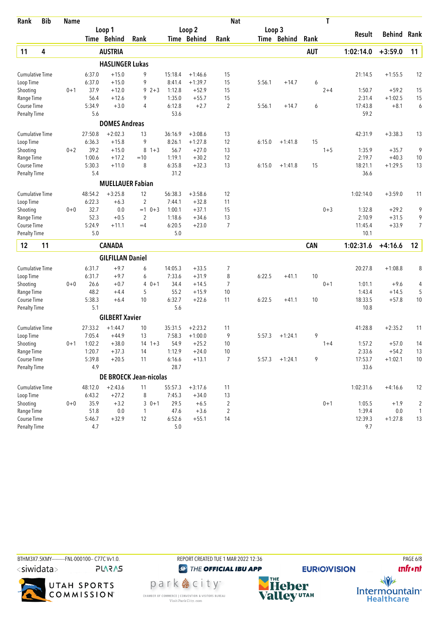| Rank                   | <b>Bib</b> | <b>Name</b> |         |                               |                |         |         |             | <b>Nat</b>     |        |             |            | T       |           |                    |                          |
|------------------------|------------|-------------|---------|-------------------------------|----------------|---------|---------|-------------|----------------|--------|-------------|------------|---------|-----------|--------------------|--------------------------|
|                        |            |             |         | Loop 1                        |                |         |         | Loop 2      |                | Loop 3 |             |            |         |           |                    |                          |
|                        |            |             |         | Time Behind                   | Rank           |         |         | Time Behind | Rank           |        | Time Behind | Rank       |         | Result    | <b>Behind Rank</b> |                          |
| 11                     | 4          |             |         | <b>AUSTRIA</b>                |                |         |         |             |                |        |             | <b>AUT</b> |         | 1:02:14.0 | $+3:59.0$          | 11                       |
|                        |            |             |         | <b>HASLINGER Lukas</b>        |                |         |         |             |                |        |             |            |         |           |                    |                          |
| <b>Cumulative Time</b> |            |             | 6:37.0  | $+15.0$                       | 9              |         | 15:18.4 | $+1:46.6$   | 15             |        |             |            |         | 21:14.5   | $+1:55.5$          | 12                       |
| Loop Time              |            |             | 6:37.0  | $+15.0$                       | 9              |         | 8:41.4  | $+1:39.7$   | 15             | 5:56.1 | $+14.7$     | 6          |         |           |                    |                          |
| Shooting               |            | $0 + 1$     | 37.9    | $+12.0$                       | $92+3$         |         | 1:12.8  | $+52.9$     | 15             |        |             |            | $2 + 4$ | 1:50.7    | $+59.2$            | 15                       |
| Range Time             |            |             | 56.4    | $+12.6$                       | 9              |         | 1:35.0  | $+55.7$     | 15             |        |             |            |         | 2:31.4    | $+1:02.5$          | 15                       |
| Course Time            |            |             | 5:34.9  | $+3.0$                        | $\overline{4}$ |         | 6:12.8  | $+2.7$      | 2              | 5:56.1 | $+14.7$     | 6          |         | 17:43.8   | $+8.1$             | 6                        |
| <b>Penalty Time</b>    |            |             | 5.6     |                               |                |         | 53.6    |             |                |        |             |            |         | 59.2      |                    |                          |
|                        |            |             |         | <b>DOMES Andreas</b>          |                |         |         |             |                |        |             |            |         |           |                    |                          |
| <b>Cumulative Time</b> |            |             | 27:50.8 | $+2:02.3$                     | 13             |         | 36:16.9 | $+3:08.6$   | 13             |        |             |            |         | 42:31.9   | $+3:38.3$          | 13                       |
| Loop Time              |            |             | 6:36.3  | $+15.8$                       | 9              |         | 8:26.1  | $+1:27.8$   | 12             | 6:15.0 | $+1:41.8$   | 15         |         |           |                    |                          |
| Shooting               |            | $0 + 2$     | 39.2    | $+15.0$                       | 8              | $1 + 3$ | 56.7    | $+27.0$     | 13             |        |             |            | $1 + 5$ | 1:35.9    | $+35.7$            | 9                        |
| Range Time             |            |             | 1:00.6  | $+17.2$                       | $=10$          |         | 1:19.1  | $+30.2$     | 12             |        |             |            |         | 2:19.7    | $+40.3$            | 10                       |
| <b>Course Time</b>     |            |             | 5:30.3  | $+11.0$                       | 8              |         | 6:35.8  | $+32.3$     | 13             | 6:15.0 | $+1:41.8$   | 15         |         | 18:21.1   | $+1:29.5$          | 13                       |
| <b>Penalty Time</b>    |            |             | 5.4     |                               |                |         | 31.2    |             |                |        |             |            |         | 36.6      |                    |                          |
|                        |            |             |         | <b>MUELLAUER Fabian</b>       |                |         |         |             |                |        |             |            |         |           |                    |                          |
| <b>Cumulative Time</b> |            |             | 48:54.2 | $+3:25.8$                     | 12             |         | 56:38.3 | $+3:58.6$   | 12             |        |             |            |         | 1:02:14.0 | $+3:59.0$          | 11                       |
| Loop Time              |            |             | 6:22.3  | $+6.3$                        | $\overline{2}$ |         | 7:44.1  | $+32.8$     | 11             |        |             |            |         |           |                    |                          |
| Shooting               |            | $0 + 0$     | 32.7    | 0.0                           | $=1$ 0+3       |         | 1:00.1  | $+37.1$     | 15             |        |             |            | $0 + 3$ | 1:32.8    | $+29.2$            | 9                        |
| Range Time             |            |             | 52.3    | $+0.5$                        | $\overline{2}$ |         | 1:18.6  | $+34.6$     | 13             |        |             |            |         | 2:10.9    | $+31.5$            | 9                        |
| Course Time            |            |             | 5:24.9  | $+11.1$                       | $=4$           |         | 6:20.5  | $+23.0$     | 7              |        |             |            |         | 11:45.4   | $+33.9$            | 7                        |
| <b>Penalty Time</b>    |            |             | 5.0     |                               |                |         | 5.0     |             |                |        |             |            |         | 10.1      |                    |                          |
| 12                     | 11         |             |         | <b>CANADA</b>                 |                |         |         |             |                |        |             | <b>CAN</b> |         | 1:02:31.6 | $+4:16.6$          | 12                       |
|                        |            |             |         | <b>GILFILLAN Daniel</b>       |                |         |         |             |                |        |             |            |         |           |                    |                          |
| <b>Cumulative Time</b> |            |             | 6:31.7  | $+9.7$                        | 6              |         | 14:05.3 | $+33.5$     | 7              |        |             |            |         | 20:27.8   | $+1:08.8$          | 8                        |
| Loop Time              |            |             | 6:31.7  | $+9.7$                        | 6              |         | 7:33.6  | $+31.9$     | 8              | 6:22.5 | $+41.1$     | 10         |         |           |                    |                          |
| Shooting               |            | $0+0$       | 26.6    | $+0.7$                        | 4              | $0 + 1$ | 34.4    | $+14.5$     | 7              |        |             |            | $0 + 1$ | 1:01.1    | $+9.6$             | $\overline{\mathcal{L}}$ |
| Range Time             |            |             | 48.2    | $+4.4$                        | 5              |         | 55.2    | $+15.9$     | 10             |        |             |            |         | 1:43.4    | $+14.5$            | 5                        |
| Course Time            |            |             | 5:38.3  | $+6.4$                        | 10             |         | 6:32.7  | $+22.6$     | 11             | 6:22.5 | $+41.1$     | 10         |         | 18:33.5   | $+57.8$            | 10                       |
| <b>Penalty Time</b>    |            |             | 5.1     |                               |                |         | 5.6     |             |                |        |             |            |         | 10.8      |                    |                          |
|                        |            |             |         | <b>GILBERT Xavier</b>         |                |         |         |             |                |        |             |            |         |           |                    |                          |
| <b>Cumulative Time</b> |            |             | 27:33.2 | $+1:44.7$                     | 10             |         | 35:31.5 | $+2:23.2$   | 11             |        |             |            |         | 41:28.8   | $+2:35.2$          | 11                       |
| Loop Time              |            |             | 7:05.4  | $+44.9$                       | 13             |         | 7:58.3  | $+1:00.0$   | 9              | 5:57.3 | $+1:24.1$   | 9          |         |           |                    |                          |
| Shooting               |            | 0+1         | 1:02.2  | $+38.0$                       | $14 \t1+3$     |         | 54.9    | $+25.2$     | 10             |        |             |            | $1 + 4$ | 1:57.2    | $+57.0$            | 14                       |
| Range Time             |            |             | 1:20.7  | $+37.3$                       | 14             |         | 1:12.9  | $+24.0$     | 10             |        |             |            |         | 2:33.6    | $+54.2$            | 13                       |
| Course Time            |            |             | 5:39.8  | $+20.5$                       | 11             |         | 6:16.6  | $+13.1$     | $\overline{7}$ | 5:57.3 | $+1:24.1$   | 9          |         | 17:53.7   | $+1:02.1$          | $10$                     |
| <b>Penalty Time</b>    |            |             | 4.9     |                               |                |         | 28.7    |             |                |        |             |            |         | 33.6      |                    |                          |
|                        |            |             |         | <b>DE BROECK Jean-nicolas</b> |                |         |         |             |                |        |             |            |         |           |                    |                          |
| <b>Cumulative Time</b> |            |             | 48:12.0 | $+2:43.6$                     | 11             |         | 55:57.3 | $+3:17.6$   | 11             |        |             |            |         | 1:02:31.6 | $+4:16.6$          | 12                       |
| Loop Time              |            |             | 6:43.2  | $+27.2$                       | 8              |         | 7:45.3  | $+34.0$     | 13             |        |             |            |         |           |                    |                          |
| Shooting               |            | $0 + 0$     | 35.9    | $+3.2$                        | $30+1$         |         | 29.5    | $+6.5$      | $\overline{2}$ |        |             |            | $0 + 1$ | 1:05.5    | $+1.9$             | $\overline{\mathbf{c}}$  |
| Range Time             |            |             | 51.8    | $0.0\,$                       | $\mathbf{1}$   |         | 47.6    | $+3.6$      | $\overline{2}$ |        |             |            |         | 1:39.4    | $0.0\,$            | 1                        |
| Course Time            |            |             | 5:46.7  | $+32.9$                       | 12             |         | 6:52.6  | $+55.1$     | 14             |        |             |            |         | 12:39.3   | $+1:27.8$          | 13                       |
| <b>Penalty Time</b>    |            |             | 4.7     |                               |                |         | 5.0     |             |                |        |             |            |         | 9.7       |                    |                          |





park e city<sup>®</sup> CHAMBER OF COMMERCE | CONVENTION & VISITORS BUREAU<br>Visit Park City.com



**EURIO)VISION** 



 $\frac{1}{\sqrt{2}}$ Intermountain<sup>®</sup><br>Healthcare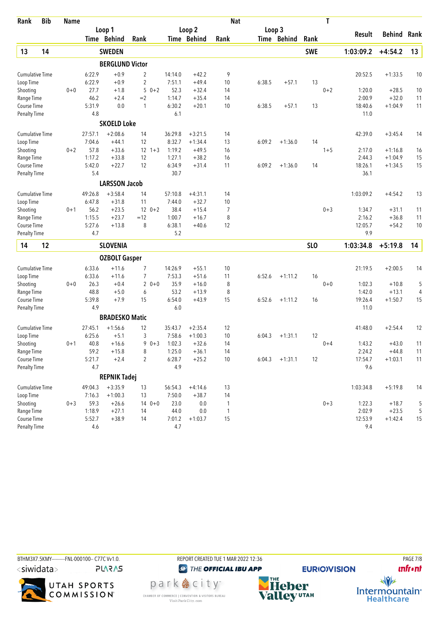| Rank                      | <b>Bib</b> | <b>Name</b> |                |                        |                |            |                |                    | <b>Nat</b>   |        |             |                 | T       |                  |                    |          |
|---------------------------|------------|-------------|----------------|------------------------|----------------|------------|----------------|--------------------|--------------|--------|-------------|-----------------|---------|------------------|--------------------|----------|
|                           |            |             |                | Loop 1                 |                |            |                | Loop 2             |              | Loop 3 |             |                 |         |                  |                    |          |
|                           |            |             |                | Time Behind            | Rank           |            |                | Time Behind        | Rank         |        | Time Behind | Rank            |         | Result           | <b>Behind Rank</b> |          |
| 13                        | 14         |             |                | <b>SWEDEN</b>          |                |            |                |                    |              |        |             | <b>SWE</b>      |         | 1:03:09.2        | $+4:54.2$          | 13       |
|                           |            |             |                | <b>BERGLUND Victor</b> |                |            |                |                    |              |        |             |                 |         |                  |                    |          |
| <b>Cumulative Time</b>    |            |             | 6:22.9         | $+0.9$                 | 2              |            | 14:14.0        | $+42.2$            | 9            |        |             |                 |         | 20:52.5          | $+1:33.5$          | 10       |
| Loop Time                 |            |             | 6:22.9         | $+0.9$                 | 2              |            | 7:51.1         | $+49.4$            | 10           | 6:38.5 | $+57.1$     | 13              |         |                  |                    |          |
| Shooting                  |            | $0 + 0$     | 27.7           | $+1.8$                 | 5              | $0 + 2$    | 52.3           | $+32.4$            | 14           |        |             |                 | $0 + 2$ | 1:20.0           | $+28.5$            | 10       |
| Range Time                |            |             | 46.2           | $+2.4$                 | $=2$           |            | 1:14.7         | $+35.4$            | 14           |        |             |                 |         | 2:00.9           | $+32.0$            | 11       |
| Course Time               |            |             | 5:31.9         | 0.0                    | $\mathbf{1}$   |            | 6:30.2         | $+20.1$            | 10           | 6:38.5 | $+57.1$     | 13              |         | 18:40.6          | $+1:04.9$          | 11       |
| <b>Penalty Time</b>       |            |             | 4.8            |                        |                |            | 6.1            |                    |              |        |             |                 |         | 11.0             |                    |          |
|                           |            |             |                | <b>SKOELD Loke</b>     |                |            |                |                    |              |        |             |                 |         |                  |                    |          |
| <b>Cumulative Time</b>    |            |             | 27:57.1        | $+2:08.6$              | 14             |            | 36:29.8        | $+3:21.5$          | 14           |        |             |                 |         | 42:39.0          | $+3:45.4$          | 14       |
| Loop Time                 |            |             | 7:04.6         | $+44.1$                | 12             |            | 8:32.7         | $+1:34.4$          | 13           | 6:09.2 | $+1:36.0$   | 14              |         |                  |                    |          |
| Shooting                  |            | $0 + 2$     | 57.8           | $+33.6$                |                | $12 \t1+3$ | 1:19.2         | $+49.5$            | 16           |        |             |                 | $1 + 5$ | 2:17.0           | $+1:16.8$          | 16       |
| Range Time                |            |             | 1:17.2         | $+33.8$                | 12             |            | 1:27.1         | $+38.2$            | 16           |        |             |                 |         | 2:44.3           | $+1:04.9$          | 15       |
| Course Time               |            |             | 5:42.0         | $+22.7$                | 12             |            | 6:34.9         | $+31.4$            | 11           | 6:09.2 | $+1:36.0$   | 14              |         | 18:26.1          | $+1:34.5$          | 15       |
| <b>Penalty Time</b>       |            |             | 5.4            |                        |                |            | 30.7           |                    |              |        |             |                 |         | 36.1             |                    |          |
|                           |            |             |                | <b>LARSSON Jacob</b>   |                |            |                |                    |              |        |             |                 |         |                  |                    |          |
| <b>Cumulative Time</b>    |            |             | 49:26.8        | $+3:58.4$              | 14             |            | 57:10.8        | $+4:31.1$          | 14           |        |             |                 |         | 1:03:09.2        | $+4:54.2$          | 13       |
| Loop Time                 |            |             | 6:47.8         | $+31.8$                | 11             |            | 7:44.0         | $+32.7$            | 10           |        |             |                 |         |                  |                    |          |
| Shooting                  |            | $0 + 1$     | 56.2<br>1:15.5 | $+23.5$<br>$+23.7$     | $=12$          | $120+2$    | 38.4<br>1:00.7 | $+15.4$<br>$+16.7$ | 7<br>8       |        |             |                 | $0 + 3$ | 1:34.7<br>2:16.2 | $+31.1$<br>$+36.8$ | 11<br>11 |
| Range Time<br>Course Time |            |             | 5:27.6         | $+13.8$                | 8              |            | 6:38.1         | $+40.6$            | 12           |        |             |                 |         | 12:05.7          | $+54.2$            | 10       |
| <b>Penalty Time</b>       |            |             | 4.7            |                        |                |            | 5.2            |                    |              |        |             |                 |         | 9.9              |                    |          |
| 14                        | 12         |             |                | <b>SLOVENIA</b>        |                |            |                |                    |              |        |             | SL <sub>O</sub> |         | 1:03:34.8        | $+5:19.8$          | 14       |
|                           |            |             |                |                        |                |            |                |                    |              |        |             |                 |         |                  |                    |          |
|                           |            |             |                | <b>OZBOLT Gasper</b>   |                |            |                |                    |              |        |             |                 |         |                  |                    |          |
| <b>Cumulative Time</b>    |            |             | 6:33.6         | $+11.6$                | 7              |            | 14:26.9        | $+55.1$            | 10           |        |             |                 |         | 21:19.5          | $+2:00.5$          | 14       |
| Loop Time                 |            |             | 6:33.6         | $+11.6$                | 7              |            | 7:53.3         | $+51.6$            | 11           | 6:52.6 | $+1:11.2$   | 16              |         |                  |                    |          |
| Shooting<br>Range Time    |            | $0 + 0$     | 26.3<br>48.8   | $+0.4$<br>$+5.0$       | 6              | $20+0$     | 35.9<br>53.2   | $+16.0$<br>$+13.9$ | 8<br>8       |        |             |                 | $0 + 0$ | 1:02.3<br>1:42.0 | $+10.8$<br>$+13.1$ | 5<br>4   |
| Course Time               |            |             | 5:39.8         | $+7.9$                 | 15             |            | 6:54.0         | $+43.9$            | 15           | 6:52.6 | $+1:11.2$   | 16              |         | 19:26.4          | $+1:50.7$          | 15       |
| <b>Penalty Time</b>       |            |             | 4.9            |                        |                |            | 6.0            |                    |              |        |             |                 |         | 11.0             |                    |          |
|                           |            |             |                | <b>BRADESKO Matic</b>  |                |            |                |                    |              |        |             |                 |         |                  |                    |          |
| <b>Cumulative Time</b>    |            |             | 27:45.1        | $+1:56.6$              | 12             |            | 35:43.7        | $+2:35.4$          | 12           |        |             |                 |         | 41:48.0          | $+2:54.4$          | 12       |
| Loop Time                 |            |             | 6:25.6         | $+5.1$                 | 3              |            | 7:58.6         | $+1:00.3$          | 10           | 6:04.3 | $+1:31.1$   | 12              |         |                  |                    |          |
| Shooting                  |            | $0 + 1$     | 40.8           | $+16.6$                | 9              | $0 + 3$    | 1:02.3         | $+32.6$            | 14           |        |             |                 | $0 + 4$ | 1:43.2           | $+43.0$            | 11       |
| Range Time                |            |             | 59.2           | $+15.8$                | 8              |            | 1:25.0         | $+36.1$            | 14           |        |             |                 |         | 2:24.2           | $+44.8$            | 11       |
| Course Time               |            |             | 5:21.7         | $+2.4$                 | $\overline{2}$ |            | 6:28.7         | $+25.2$            | $10$         | 6:04.3 | $+1:31.1$   | 12              |         | 17:54.7          | $+1:03.1$          | 11       |
| <b>Penalty Time</b>       |            |             | 4.7            |                        |                |            | 4.9            |                    |              |        |             |                 |         | 9.6              |                    |          |
|                           |            |             |                | <b>REPNIK Tadej</b>    |                |            |                |                    |              |        |             |                 |         |                  |                    |          |
| <b>Cumulative Time</b>    |            |             | 49:04.3        | $+3:35.9$              | 13             |            | 56:54.3        | $+4:14.6$          | 13           |        |             |                 |         | 1:03:34.8        | $+5:19.8$          | 14       |
| Loop Time                 |            |             | 7:16.3         | $+1:00.3$              | 13             |            | 7:50.0         | $+38.7$            | 14           |        |             |                 |         |                  |                    |          |
| Shooting                  |            | $0 + 3$     | 59.3           | $+26.6$                |                | $140+0$    | 23.0           | $0.0\,$            | 1            |        |             |                 | $0 + 3$ | 1:22.3           | $+18.7$            | 5        |
| Range Time                |            |             | 1:18.9         | $+27.1$                | 14             |            | 44.0           | 0.0                | $\mathbf{1}$ |        |             |                 |         | 2:02.9           | $+23.5$            | 5        |
| Course Time               |            |             | 5:52.7         | $+38.9$                | 14             |            | 7:01.2         | $+1:03.7$          | 15           |        |             |                 |         | 12:53.9          | $+1:42.4$          | 15       |
| <b>Penalty Time</b>       |            |             | 4.6            |                        |                |            | 4.7            |                    |              |        |             |                 |         | 9.4              |                    |          |



**unfront** 

 $\frac{1}{\sqrt{2}}$ Intermountain<sup>®</sup><br>Healthcare